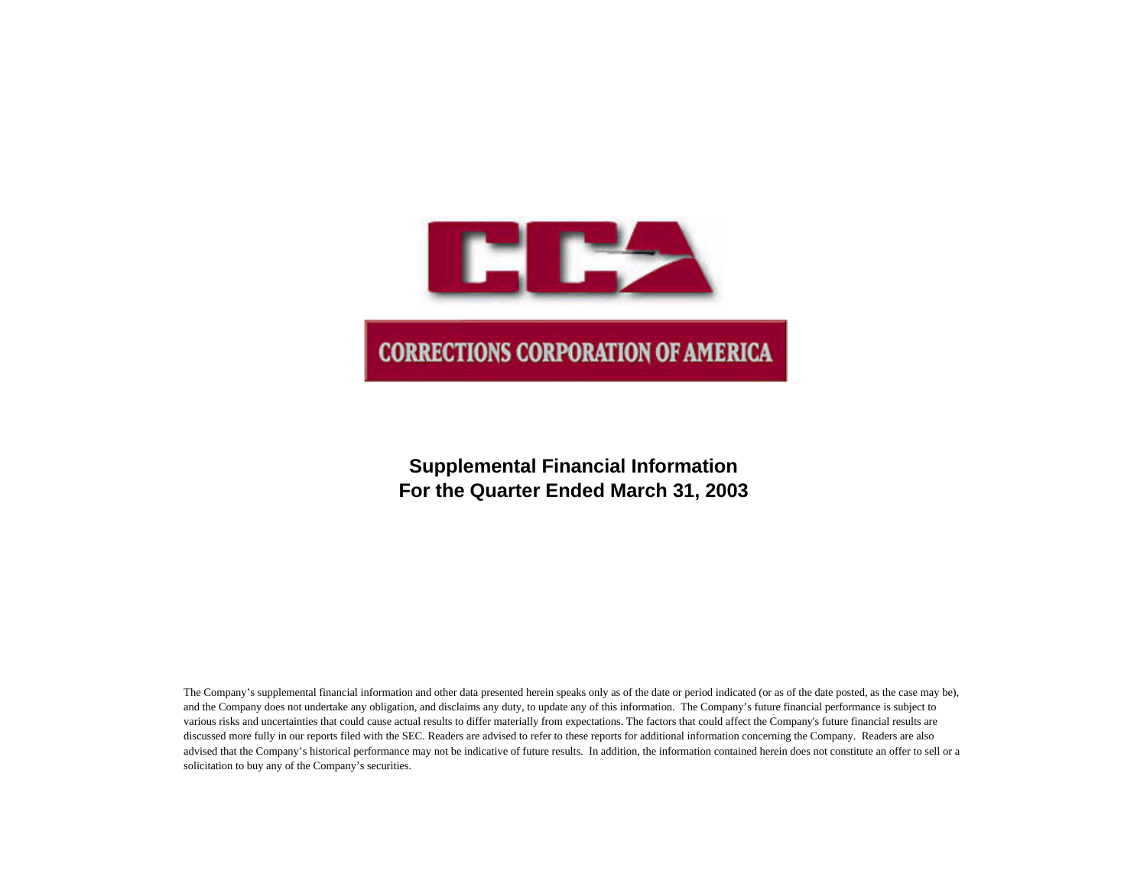

# **Supplemental Financial Information For the Quarter Ended March 31, 2003**

The Company's supplemental financial information and other data presented herein speaks only as of the date or period indicated (or as of the date posted, as the case may be), and the Company does not undertake any obligation, and disclaims any duty, to update any of this information. The Company's future financial performance is subject to various risks and uncertainties that could cause actual results to differ materially from expectations. The factors that could affect the Company's future financial results are discussed more fully in our reports filed with the SEC. Readers are advised to refer to these reports for additional information concerning the Company. Readers are also advised that the Company's historical performance may not be indicative of future results. In addition, the information contained herein does not constitute an offer to sell or a solicitation to buy any of the Company's securities.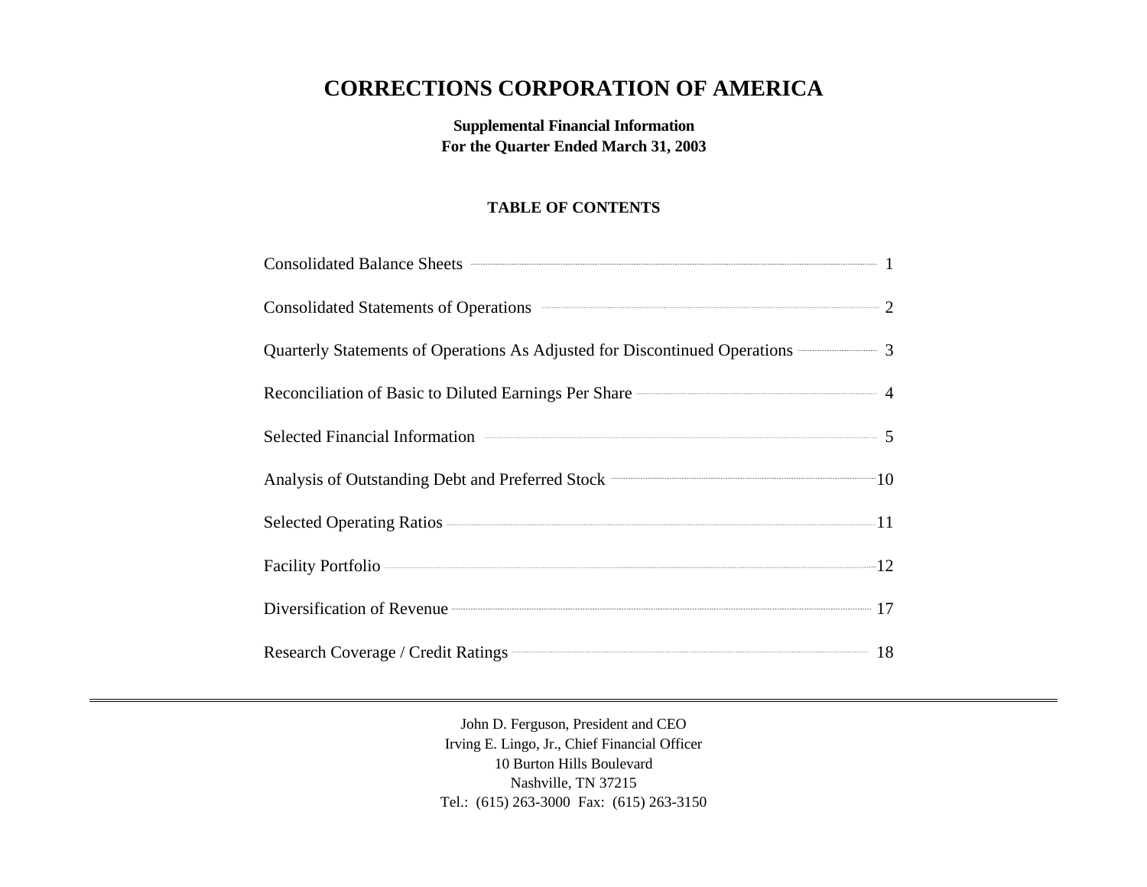# **CORRECTIONS CORPORATION OF AMERICA**

**Supplemental Financial Information For the Quarter Ended March 31, 2003**

# **TABLE OF CONTENTS**

| Consolidated Balance Sheets <b>Consolidated</b> Balance Sheets <b>Consolidated</b> Balance Sheets <b>Consolidated</b> Balance Sheets <b>Consolidated</b> Balance Sheets <b>Consolidated</b> Balance Sheets <b>Consolidated</b> Balance Sheets <b>Consolidated</b> |  |
|-------------------------------------------------------------------------------------------------------------------------------------------------------------------------------------------------------------------------------------------------------------------|--|
| Consolidated Statements of Operations 2                                                                                                                                                                                                                           |  |
| Quarterly Statements of Operations As Adjusted for Discontinued Operations <b>CONSUMENT:</b> 3                                                                                                                                                                    |  |
|                                                                                                                                                                                                                                                                   |  |
| Selected Financial Information <b>Constanting Selected</b> Financial Information 5                                                                                                                                                                                |  |
| Analysis of Outstanding Debt and Preferred Stock <b>Constanting</b> 10                                                                                                                                                                                            |  |
| Selected Operating Ratios <b>Mathematical Contract Contract Contract Contract Contract Contract Contract Contract Contract Contract Contract Contract Contract Contract Contract Contract Contract Contract Contract Contract Co</b>                              |  |
|                                                                                                                                                                                                                                                                   |  |
| Diversification of Revenue 17                                                                                                                                                                                                                                     |  |
|                                                                                                                                                                                                                                                                   |  |

John D. Ferguson, President and CEO Irving E. Lingo, Jr., Chief Financial Officer 10 Burton Hills Boulevard Nashville, TN 37215 Tel.: (615) 263-3000 Fax: (615) 263-3150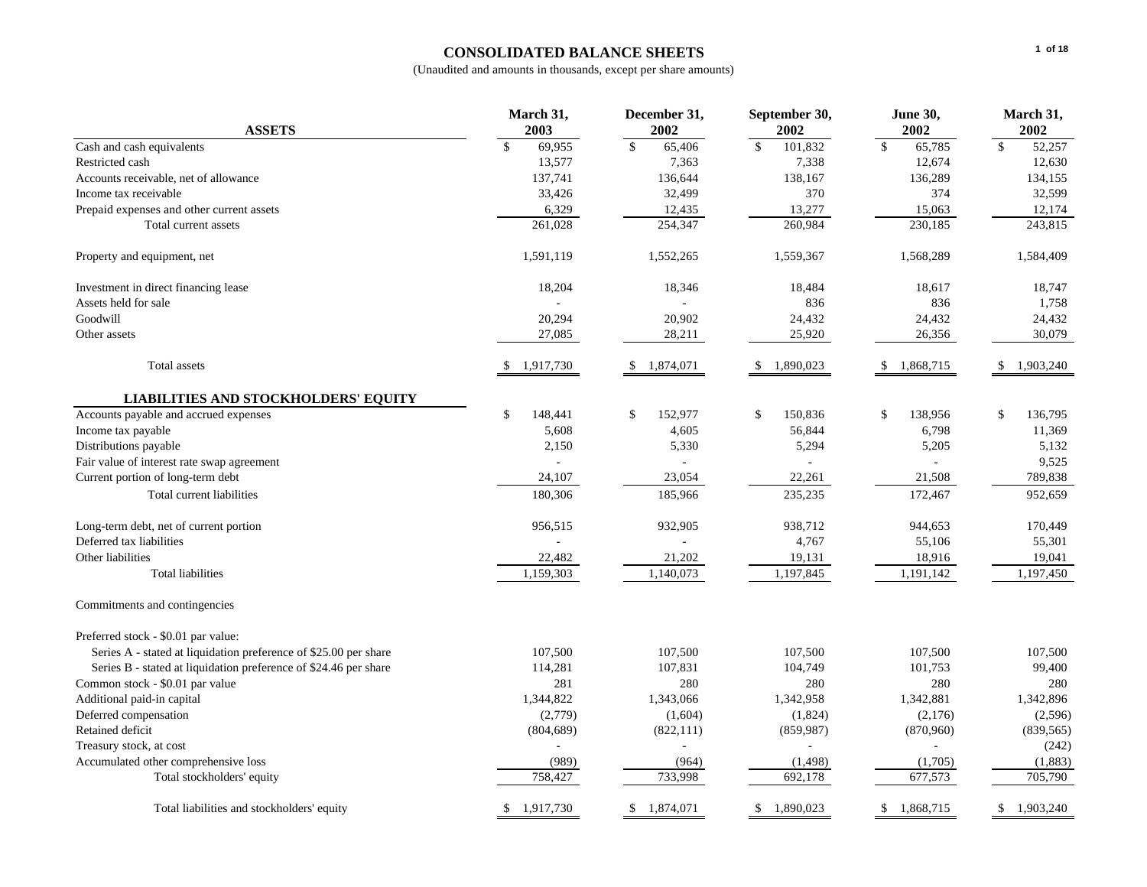# **CONSOLIDATED BALANCE SHEETS**

|                                                                  | March 31,               | December 31,             | September 30,              | <b>June 30,</b>        | March 31,                  |
|------------------------------------------------------------------|-------------------------|--------------------------|----------------------------|------------------------|----------------------------|
| <b>ASSETS</b>                                                    | 2003                    | 2002                     | 2002                       | 2002                   | 2002                       |
| Cash and cash equivalents                                        | $\mathbb{S}$<br>69,955  | $\mathbb{S}$<br>65,406   | $\mathbb{S}$<br>101,832    | $\mathbb{S}$<br>65,785 | $\mathbb{S}$<br>52,257     |
| Restricted cash                                                  | 13,577                  | 7,363                    | 7,338                      | 12,674                 | 12,630                     |
| Accounts receivable, net of allowance                            | 137,741                 | 136,644                  | 138,167                    | 136,289                | 134,155                    |
| Income tax receivable                                            | 33,426                  | 32,499                   | 370                        | 374                    | 32,599                     |
| Prepaid expenses and other current assets                        | 6,329                   | 12,435                   | 13,277                     | 15,063                 | 12,174                     |
| Total current assets                                             | 261,028                 | 254,347                  | 260,984                    | 230,185                | 243,815                    |
| Property and equipment, net                                      | 1,591,119               | 1,552,265                | 1,559,367                  | 1,568,289              | 1,584,409                  |
| Investment in direct financing lease                             | 18,204                  | 18,346                   | 18,484                     | 18,617                 | 18,747                     |
| Assets held for sale                                             |                         |                          | 836                        | 836                    | 1,758                      |
| Goodwill                                                         | 20,294                  | 20,902                   | 24,432                     | 24,432                 | 24,432                     |
| Other assets                                                     | 27,085                  | 28,211                   | 25,920                     | 26,356                 | 30,079                     |
| Total assets                                                     | 1,917,730<br>\$.        | 1,874,071<br>\$.         | 1,890,023<br><sup>\$</sup> | \$<br>1,868,715        | 1,903,240<br><sup>\$</sup> |
| <b>LIABILITIES AND STOCKHOLDERS' EQUITY</b>                      |                         |                          |                            |                        |                            |
| Accounts payable and accrued expenses                            | $\mathbb{S}$<br>148,441 | 152,977<br><sup>\$</sup> | \$<br>150,836              | \$<br>138,956          | \$<br>136,795              |
| Income tax payable                                               | 5,608                   | 4,605                    | 56,844                     | 6,798                  | 11,369                     |
| Distributions payable                                            | 2,150                   | 5,330                    | 5,294                      | 5,205                  | 5,132                      |
| Fair value of interest rate swap agreement                       |                         |                          |                            |                        | 9,525                      |
| Current portion of long-term debt                                | 24,107                  | 23,054                   | 22,261                     | 21,508                 | 789,838                    |
| Total current liabilities                                        | 180,306                 | 185,966                  | 235,235                    | 172,467                | 952,659                    |
| Long-term debt, net of current portion                           | 956,515                 | 932,905                  | 938,712                    | 944,653                | 170,449                    |
| Deferred tax liabilities                                         |                         |                          | 4,767                      | 55,106                 | 55,301                     |
| Other liabilities                                                | 22,482                  | 21,202                   | 19,131                     | 18,916                 | 19,041                     |
| <b>Total liabilities</b>                                         | 1,159,303               | 1,140,073                | 1,197,845                  | 1,191,142              | 1,197,450                  |
| Commitments and contingencies                                    |                         |                          |                            |                        |                            |
| Preferred stock - \$0.01 par value:                              |                         |                          |                            |                        |                            |
| Series A - stated at liquidation preference of \$25.00 per share | 107,500                 | 107,500                  | 107,500                    | 107,500                | 107,500                    |
| Series B - stated at liquidation preference of \$24.46 per share | 114,281                 | 107,831                  | 104,749                    | 101,753                | 99,400                     |
| Common stock - \$0.01 par value                                  | 281                     | 280                      | 280                        | 280                    | 280                        |
| Additional paid-in capital                                       | 1,344,822               | 1,343,066                | 1,342,958                  | 1,342,881              | 1,342,896                  |
| Deferred compensation                                            | (2,779)                 | (1,604)                  | (1,824)                    | (2,176)                | (2,596)                    |
| Retained deficit                                                 | (804, 689)              | (822, 111)               | (859, 987)                 | (870,960)              | (839, 565)                 |
| Treasury stock, at cost                                          |                         |                          |                            |                        | (242)                      |
| Accumulated other comprehensive loss                             | (989)                   | (964)                    | (1, 498)                   | (1,705)                | (1,883)                    |
| Total stockholders' equity                                       | 758,427                 | 733,998                  | 692,178                    | 677,573                | 705,790                    |
| Total liabilities and stockholders' equity                       | 1,917,730<br>\$         | 1,874,071<br>\$          | 1,890,023<br>\$            | 1,868,715<br>\$        | 1,903,240<br>\$            |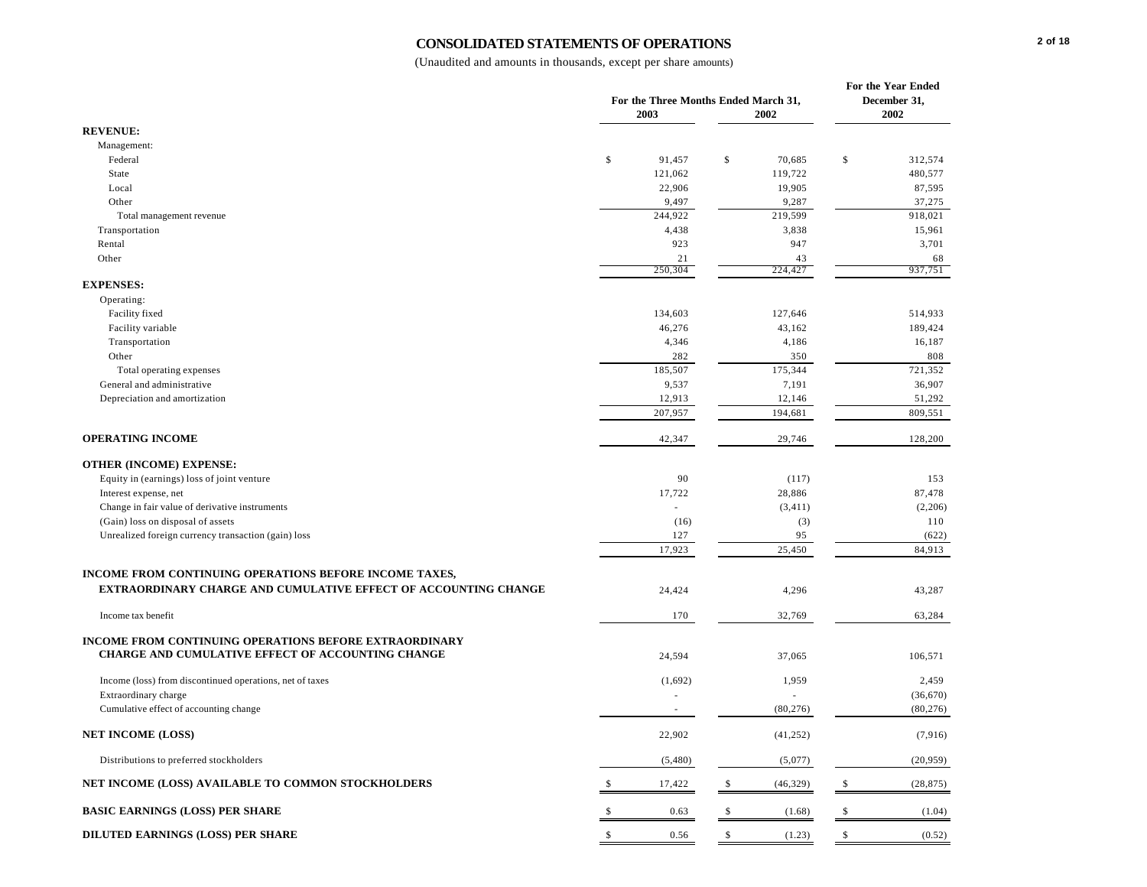#### **CONSOLIDATED STATEMENTS OF OPERATIONS**

| <b>REVENUE:</b><br>Management:<br>\$<br>Federal<br>91,457<br>$\mathbb{S}$<br>70,685<br>\$<br>312,574<br>480,577<br>State<br>121,062<br>119,722<br>22,906<br>19,905<br>87,595<br>Local<br>Other<br>37,275<br>9,497<br>9,287<br>244,922<br>219,599<br>918,021<br>Total management revenue<br>4,438<br>3,838<br>15,961<br>Transportation<br>923<br>947<br>3,701<br>Rental<br>Other<br>21<br>43<br>68<br>250,304<br>224,427<br>937,751<br><b>EXPENSES:</b><br>Operating:<br>Facility fixed<br>134,603<br>127,646<br>514,933<br>Facility variable<br>46,276<br>43,162<br>189,424<br>Transportation<br>4,346<br>4,186<br>16,187<br>282<br>350<br>Other<br>808<br>185,507<br>175,344<br>721,352<br>Total operating expenses<br>General and administrative<br>9,537<br>7,191<br>36,907<br>12,913<br>12,146<br>51,292<br>Depreciation and amortization<br>207,957<br>194,681<br>809,551<br><b>OPERATING INCOME</b><br>42,347<br>29,746<br>128,200<br><b>OTHER (INCOME) EXPENSE:</b><br>90<br>Equity in (earnings) loss of joint venture<br>(117)<br>153<br>17,722<br>28,886<br>87,478<br>Interest expense, net<br>Change in fair value of derivative instruments<br>(3, 411)<br>(2,206)<br>÷.<br>(Gain) loss on disposal of assets<br>(16)<br>(3)<br>110<br>Unrealized foreign currency transaction (gain) loss<br>95<br>127<br>(622)<br>17,923<br>25,450<br>84,913<br>INCOME FROM CONTINUING OPERATIONS BEFORE INCOME TAXES,<br><b>EXTRAORDINARY CHARGE AND CUMULATIVE EFFECT OF ACCOUNTING CHANGE</b><br>24,424<br>4,296<br>43,287<br>170<br>32,769<br>63,284<br>Income tax benefit<br><b>INCOME FROM CONTINUING OPERATIONS BEFORE EXTRAORDINARY</b><br>CHARGE AND CUMULATIVE EFFECT OF ACCOUNTING CHANGE<br>106,571<br>24,594<br>37,065<br>Income (loss) from discontinued operations, net of taxes<br>2,459<br>(1,692)<br>1,959<br>Extraordinary charge<br>(36,670)<br>Cumulative effect of accounting change<br>(80, 276)<br>(80, 276)<br>$\overline{\phantom{a}}$<br><b>NET INCOME (LOSS)</b><br>22,902<br>(7,916)<br>(41,252)<br>Distributions to preferred stockholders<br>(5,480)<br>(5,077)<br>(20, 959)<br>NET INCOME (LOSS) AVAILABLE TO COMMON STOCKHOLDERS<br>17,422<br>(46, 329)<br>(28, 875)<br>-\$<br>\$<br>\$<br><b>BASIC EARNINGS (LOSS) PER SHARE</b><br>0.63<br>(1.04)<br>\$<br>(1.68)<br>-S |  | For the Three Months Ended March 31,<br>2003 | 2002 | <b>For the Year Ended</b><br>December 31,<br>2002 |
|----------------------------------------------------------------------------------------------------------------------------------------------------------------------------------------------------------------------------------------------------------------------------------------------------------------------------------------------------------------------------------------------------------------------------------------------------------------------------------------------------------------------------------------------------------------------------------------------------------------------------------------------------------------------------------------------------------------------------------------------------------------------------------------------------------------------------------------------------------------------------------------------------------------------------------------------------------------------------------------------------------------------------------------------------------------------------------------------------------------------------------------------------------------------------------------------------------------------------------------------------------------------------------------------------------------------------------------------------------------------------------------------------------------------------------------------------------------------------------------------------------------------------------------------------------------------------------------------------------------------------------------------------------------------------------------------------------------------------------------------------------------------------------------------------------------------------------------------------------------------------------------------------------------------------------------------------------------------------------------------------------------------------------------------------------------------------------------------------------------------------------------------------------------------------------------------------------------------------------------------------------------------------------------------------------|--|----------------------------------------------|------|---------------------------------------------------|
|                                                                                                                                                                                                                                                                                                                                                                                                                                                                                                                                                                                                                                                                                                                                                                                                                                                                                                                                                                                                                                                                                                                                                                                                                                                                                                                                                                                                                                                                                                                                                                                                                                                                                                                                                                                                                                                                                                                                                                                                                                                                                                                                                                                                                                                                                                          |  |                                              |      |                                                   |
|                                                                                                                                                                                                                                                                                                                                                                                                                                                                                                                                                                                                                                                                                                                                                                                                                                                                                                                                                                                                                                                                                                                                                                                                                                                                                                                                                                                                                                                                                                                                                                                                                                                                                                                                                                                                                                                                                                                                                                                                                                                                                                                                                                                                                                                                                                          |  |                                              |      |                                                   |
|                                                                                                                                                                                                                                                                                                                                                                                                                                                                                                                                                                                                                                                                                                                                                                                                                                                                                                                                                                                                                                                                                                                                                                                                                                                                                                                                                                                                                                                                                                                                                                                                                                                                                                                                                                                                                                                                                                                                                                                                                                                                                                                                                                                                                                                                                                          |  |                                              |      |                                                   |
|                                                                                                                                                                                                                                                                                                                                                                                                                                                                                                                                                                                                                                                                                                                                                                                                                                                                                                                                                                                                                                                                                                                                                                                                                                                                                                                                                                                                                                                                                                                                                                                                                                                                                                                                                                                                                                                                                                                                                                                                                                                                                                                                                                                                                                                                                                          |  |                                              |      |                                                   |
|                                                                                                                                                                                                                                                                                                                                                                                                                                                                                                                                                                                                                                                                                                                                                                                                                                                                                                                                                                                                                                                                                                                                                                                                                                                                                                                                                                                                                                                                                                                                                                                                                                                                                                                                                                                                                                                                                                                                                                                                                                                                                                                                                                                                                                                                                                          |  |                                              |      |                                                   |
|                                                                                                                                                                                                                                                                                                                                                                                                                                                                                                                                                                                                                                                                                                                                                                                                                                                                                                                                                                                                                                                                                                                                                                                                                                                                                                                                                                                                                                                                                                                                                                                                                                                                                                                                                                                                                                                                                                                                                                                                                                                                                                                                                                                                                                                                                                          |  |                                              |      |                                                   |
|                                                                                                                                                                                                                                                                                                                                                                                                                                                                                                                                                                                                                                                                                                                                                                                                                                                                                                                                                                                                                                                                                                                                                                                                                                                                                                                                                                                                                                                                                                                                                                                                                                                                                                                                                                                                                                                                                                                                                                                                                                                                                                                                                                                                                                                                                                          |  |                                              |      |                                                   |
|                                                                                                                                                                                                                                                                                                                                                                                                                                                                                                                                                                                                                                                                                                                                                                                                                                                                                                                                                                                                                                                                                                                                                                                                                                                                                                                                                                                                                                                                                                                                                                                                                                                                                                                                                                                                                                                                                                                                                                                                                                                                                                                                                                                                                                                                                                          |  |                                              |      |                                                   |
|                                                                                                                                                                                                                                                                                                                                                                                                                                                                                                                                                                                                                                                                                                                                                                                                                                                                                                                                                                                                                                                                                                                                                                                                                                                                                                                                                                                                                                                                                                                                                                                                                                                                                                                                                                                                                                                                                                                                                                                                                                                                                                                                                                                                                                                                                                          |  |                                              |      |                                                   |
|                                                                                                                                                                                                                                                                                                                                                                                                                                                                                                                                                                                                                                                                                                                                                                                                                                                                                                                                                                                                                                                                                                                                                                                                                                                                                                                                                                                                                                                                                                                                                                                                                                                                                                                                                                                                                                                                                                                                                                                                                                                                                                                                                                                                                                                                                                          |  |                                              |      |                                                   |
|                                                                                                                                                                                                                                                                                                                                                                                                                                                                                                                                                                                                                                                                                                                                                                                                                                                                                                                                                                                                                                                                                                                                                                                                                                                                                                                                                                                                                                                                                                                                                                                                                                                                                                                                                                                                                                                                                                                                                                                                                                                                                                                                                                                                                                                                                                          |  |                                              |      |                                                   |
|                                                                                                                                                                                                                                                                                                                                                                                                                                                                                                                                                                                                                                                                                                                                                                                                                                                                                                                                                                                                                                                                                                                                                                                                                                                                                                                                                                                                                                                                                                                                                                                                                                                                                                                                                                                                                                                                                                                                                                                                                                                                                                                                                                                                                                                                                                          |  |                                              |      |                                                   |
|                                                                                                                                                                                                                                                                                                                                                                                                                                                                                                                                                                                                                                                                                                                                                                                                                                                                                                                                                                                                                                                                                                                                                                                                                                                                                                                                                                                                                                                                                                                                                                                                                                                                                                                                                                                                                                                                                                                                                                                                                                                                                                                                                                                                                                                                                                          |  |                                              |      |                                                   |
|                                                                                                                                                                                                                                                                                                                                                                                                                                                                                                                                                                                                                                                                                                                                                                                                                                                                                                                                                                                                                                                                                                                                                                                                                                                                                                                                                                                                                                                                                                                                                                                                                                                                                                                                                                                                                                                                                                                                                                                                                                                                                                                                                                                                                                                                                                          |  |                                              |      |                                                   |
|                                                                                                                                                                                                                                                                                                                                                                                                                                                                                                                                                                                                                                                                                                                                                                                                                                                                                                                                                                                                                                                                                                                                                                                                                                                                                                                                                                                                                                                                                                                                                                                                                                                                                                                                                                                                                                                                                                                                                                                                                                                                                                                                                                                                                                                                                                          |  |                                              |      |                                                   |
|                                                                                                                                                                                                                                                                                                                                                                                                                                                                                                                                                                                                                                                                                                                                                                                                                                                                                                                                                                                                                                                                                                                                                                                                                                                                                                                                                                                                                                                                                                                                                                                                                                                                                                                                                                                                                                                                                                                                                                                                                                                                                                                                                                                                                                                                                                          |  |                                              |      |                                                   |
|                                                                                                                                                                                                                                                                                                                                                                                                                                                                                                                                                                                                                                                                                                                                                                                                                                                                                                                                                                                                                                                                                                                                                                                                                                                                                                                                                                                                                                                                                                                                                                                                                                                                                                                                                                                                                                                                                                                                                                                                                                                                                                                                                                                                                                                                                                          |  |                                              |      |                                                   |
|                                                                                                                                                                                                                                                                                                                                                                                                                                                                                                                                                                                                                                                                                                                                                                                                                                                                                                                                                                                                                                                                                                                                                                                                                                                                                                                                                                                                                                                                                                                                                                                                                                                                                                                                                                                                                                                                                                                                                                                                                                                                                                                                                                                                                                                                                                          |  |                                              |      |                                                   |
|                                                                                                                                                                                                                                                                                                                                                                                                                                                                                                                                                                                                                                                                                                                                                                                                                                                                                                                                                                                                                                                                                                                                                                                                                                                                                                                                                                                                                                                                                                                                                                                                                                                                                                                                                                                                                                                                                                                                                                                                                                                                                                                                                                                                                                                                                                          |  |                                              |      |                                                   |
|                                                                                                                                                                                                                                                                                                                                                                                                                                                                                                                                                                                                                                                                                                                                                                                                                                                                                                                                                                                                                                                                                                                                                                                                                                                                                                                                                                                                                                                                                                                                                                                                                                                                                                                                                                                                                                                                                                                                                                                                                                                                                                                                                                                                                                                                                                          |  |                                              |      |                                                   |
|                                                                                                                                                                                                                                                                                                                                                                                                                                                                                                                                                                                                                                                                                                                                                                                                                                                                                                                                                                                                                                                                                                                                                                                                                                                                                                                                                                                                                                                                                                                                                                                                                                                                                                                                                                                                                                                                                                                                                                                                                                                                                                                                                                                                                                                                                                          |  |                                              |      |                                                   |
|                                                                                                                                                                                                                                                                                                                                                                                                                                                                                                                                                                                                                                                                                                                                                                                                                                                                                                                                                                                                                                                                                                                                                                                                                                                                                                                                                                                                                                                                                                                                                                                                                                                                                                                                                                                                                                                                                                                                                                                                                                                                                                                                                                                                                                                                                                          |  |                                              |      |                                                   |
|                                                                                                                                                                                                                                                                                                                                                                                                                                                                                                                                                                                                                                                                                                                                                                                                                                                                                                                                                                                                                                                                                                                                                                                                                                                                                                                                                                                                                                                                                                                                                                                                                                                                                                                                                                                                                                                                                                                                                                                                                                                                                                                                                                                                                                                                                                          |  |                                              |      |                                                   |
|                                                                                                                                                                                                                                                                                                                                                                                                                                                                                                                                                                                                                                                                                                                                                                                                                                                                                                                                                                                                                                                                                                                                                                                                                                                                                                                                                                                                                                                                                                                                                                                                                                                                                                                                                                                                                                                                                                                                                                                                                                                                                                                                                                                                                                                                                                          |  |                                              |      |                                                   |
|                                                                                                                                                                                                                                                                                                                                                                                                                                                                                                                                                                                                                                                                                                                                                                                                                                                                                                                                                                                                                                                                                                                                                                                                                                                                                                                                                                                                                                                                                                                                                                                                                                                                                                                                                                                                                                                                                                                                                                                                                                                                                                                                                                                                                                                                                                          |  |                                              |      |                                                   |
|                                                                                                                                                                                                                                                                                                                                                                                                                                                                                                                                                                                                                                                                                                                                                                                                                                                                                                                                                                                                                                                                                                                                                                                                                                                                                                                                                                                                                                                                                                                                                                                                                                                                                                                                                                                                                                                                                                                                                                                                                                                                                                                                                                                                                                                                                                          |  |                                              |      |                                                   |
|                                                                                                                                                                                                                                                                                                                                                                                                                                                                                                                                                                                                                                                                                                                                                                                                                                                                                                                                                                                                                                                                                                                                                                                                                                                                                                                                                                                                                                                                                                                                                                                                                                                                                                                                                                                                                                                                                                                                                                                                                                                                                                                                                                                                                                                                                                          |  |                                              |      |                                                   |
|                                                                                                                                                                                                                                                                                                                                                                                                                                                                                                                                                                                                                                                                                                                                                                                                                                                                                                                                                                                                                                                                                                                                                                                                                                                                                                                                                                                                                                                                                                                                                                                                                                                                                                                                                                                                                                                                                                                                                                                                                                                                                                                                                                                                                                                                                                          |  |                                              |      |                                                   |
|                                                                                                                                                                                                                                                                                                                                                                                                                                                                                                                                                                                                                                                                                                                                                                                                                                                                                                                                                                                                                                                                                                                                                                                                                                                                                                                                                                                                                                                                                                                                                                                                                                                                                                                                                                                                                                                                                                                                                                                                                                                                                                                                                                                                                                                                                                          |  |                                              |      |                                                   |
|                                                                                                                                                                                                                                                                                                                                                                                                                                                                                                                                                                                                                                                                                                                                                                                                                                                                                                                                                                                                                                                                                                                                                                                                                                                                                                                                                                                                                                                                                                                                                                                                                                                                                                                                                                                                                                                                                                                                                                                                                                                                                                                                                                                                                                                                                                          |  |                                              |      |                                                   |
|                                                                                                                                                                                                                                                                                                                                                                                                                                                                                                                                                                                                                                                                                                                                                                                                                                                                                                                                                                                                                                                                                                                                                                                                                                                                                                                                                                                                                                                                                                                                                                                                                                                                                                                                                                                                                                                                                                                                                                                                                                                                                                                                                                                                                                                                                                          |  |                                              |      |                                                   |
|                                                                                                                                                                                                                                                                                                                                                                                                                                                                                                                                                                                                                                                                                                                                                                                                                                                                                                                                                                                                                                                                                                                                                                                                                                                                                                                                                                                                                                                                                                                                                                                                                                                                                                                                                                                                                                                                                                                                                                                                                                                                                                                                                                                                                                                                                                          |  |                                              |      |                                                   |
|                                                                                                                                                                                                                                                                                                                                                                                                                                                                                                                                                                                                                                                                                                                                                                                                                                                                                                                                                                                                                                                                                                                                                                                                                                                                                                                                                                                                                                                                                                                                                                                                                                                                                                                                                                                                                                                                                                                                                                                                                                                                                                                                                                                                                                                                                                          |  |                                              |      |                                                   |
|                                                                                                                                                                                                                                                                                                                                                                                                                                                                                                                                                                                                                                                                                                                                                                                                                                                                                                                                                                                                                                                                                                                                                                                                                                                                                                                                                                                                                                                                                                                                                                                                                                                                                                                                                                                                                                                                                                                                                                                                                                                                                                                                                                                                                                                                                                          |  |                                              |      |                                                   |
|                                                                                                                                                                                                                                                                                                                                                                                                                                                                                                                                                                                                                                                                                                                                                                                                                                                                                                                                                                                                                                                                                                                                                                                                                                                                                                                                                                                                                                                                                                                                                                                                                                                                                                                                                                                                                                                                                                                                                                                                                                                                                                                                                                                                                                                                                                          |  |                                              |      |                                                   |
|                                                                                                                                                                                                                                                                                                                                                                                                                                                                                                                                                                                                                                                                                                                                                                                                                                                                                                                                                                                                                                                                                                                                                                                                                                                                                                                                                                                                                                                                                                                                                                                                                                                                                                                                                                                                                                                                                                                                                                                                                                                                                                                                                                                                                                                                                                          |  |                                              |      |                                                   |
|                                                                                                                                                                                                                                                                                                                                                                                                                                                                                                                                                                                                                                                                                                                                                                                                                                                                                                                                                                                                                                                                                                                                                                                                                                                                                                                                                                                                                                                                                                                                                                                                                                                                                                                                                                                                                                                                                                                                                                                                                                                                                                                                                                                                                                                                                                          |  |                                              |      |                                                   |
|                                                                                                                                                                                                                                                                                                                                                                                                                                                                                                                                                                                                                                                                                                                                                                                                                                                                                                                                                                                                                                                                                                                                                                                                                                                                                                                                                                                                                                                                                                                                                                                                                                                                                                                                                                                                                                                                                                                                                                                                                                                                                                                                                                                                                                                                                                          |  |                                              |      |                                                   |
|                                                                                                                                                                                                                                                                                                                                                                                                                                                                                                                                                                                                                                                                                                                                                                                                                                                                                                                                                                                                                                                                                                                                                                                                                                                                                                                                                                                                                                                                                                                                                                                                                                                                                                                                                                                                                                                                                                                                                                                                                                                                                                                                                                                                                                                                                                          |  |                                              |      |                                                   |
|                                                                                                                                                                                                                                                                                                                                                                                                                                                                                                                                                                                                                                                                                                                                                                                                                                                                                                                                                                                                                                                                                                                                                                                                                                                                                                                                                                                                                                                                                                                                                                                                                                                                                                                                                                                                                                                                                                                                                                                                                                                                                                                                                                                                                                                                                                          |  |                                              |      |                                                   |
|                                                                                                                                                                                                                                                                                                                                                                                                                                                                                                                                                                                                                                                                                                                                                                                                                                                                                                                                                                                                                                                                                                                                                                                                                                                                                                                                                                                                                                                                                                                                                                                                                                                                                                                                                                                                                                                                                                                                                                                                                                                                                                                                                                                                                                                                                                          |  |                                              |      |                                                   |
|                                                                                                                                                                                                                                                                                                                                                                                                                                                                                                                                                                                                                                                                                                                                                                                                                                                                                                                                                                                                                                                                                                                                                                                                                                                                                                                                                                                                                                                                                                                                                                                                                                                                                                                                                                                                                                                                                                                                                                                                                                                                                                                                                                                                                                                                                                          |  |                                              |      |                                                   |
| DILUTED EARNINGS (LOSS) PER SHARE<br>\$<br>\$<br>0.56<br>\$<br>(1.23)<br>(0.52)                                                                                                                                                                                                                                                                                                                                                                                                                                                                                                                                                                                                                                                                                                                                                                                                                                                                                                                                                                                                                                                                                                                                                                                                                                                                                                                                                                                                                                                                                                                                                                                                                                                                                                                                                                                                                                                                                                                                                                                                                                                                                                                                                                                                                          |  |                                              |      |                                                   |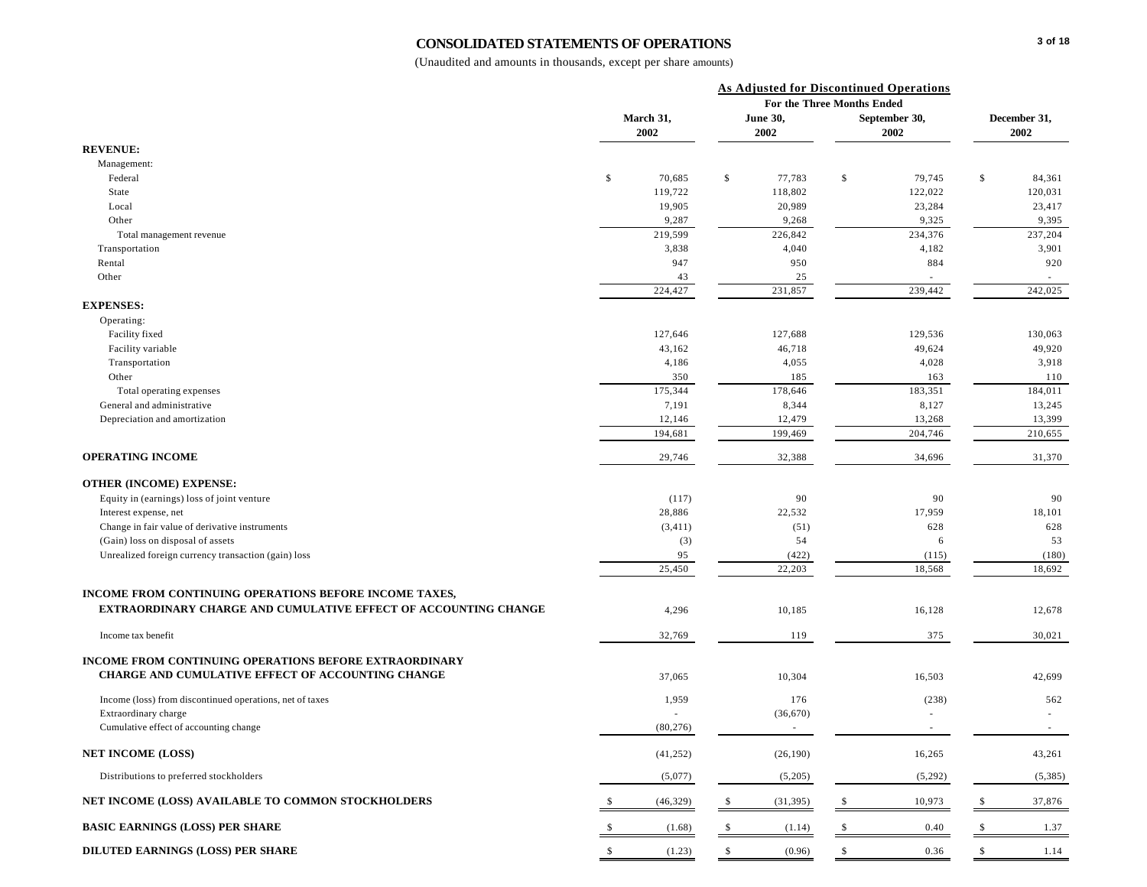#### **CONSOLIDATED STATEMENTS OF OPERATIONS**

|                                                                                                                    |                   | <b>As Adjusted for Discontinued Operations</b><br>For the Three Months Ended |                         |                        |                       |                      |                   |
|--------------------------------------------------------------------------------------------------------------------|-------------------|------------------------------------------------------------------------------|-------------------------|------------------------|-----------------------|----------------------|-------------------|
|                                                                                                                    | March 31,<br>2002 |                                                                              | <b>June 30,</b><br>2002 |                        | September 30,<br>2002 | December 31,<br>2002 |                   |
| <b>REVENUE:</b>                                                                                                    |                   |                                                                              |                         |                        |                       |                      |                   |
| Management:                                                                                                        |                   |                                                                              |                         |                        |                       |                      |                   |
| Federal                                                                                                            | \$<br>70,685      | \$                                                                           | 77,783                  | $\mathbb{S}$           | 79,745                | \$                   | 84,361            |
| State                                                                                                              | 119,722           |                                                                              | 118,802                 |                        | 122,022               |                      | 120,031           |
| Local                                                                                                              | 19,905            |                                                                              | 20,989                  |                        | 23,284                |                      | 23,417            |
| Other                                                                                                              | 9,287             |                                                                              | 9,268                   |                        | 9,325                 |                      | 9,395             |
| Total management revenue                                                                                           | 219,599           |                                                                              | 226,842                 |                        | 234,376               |                      | 237,204           |
| Transportation                                                                                                     | 3,838             |                                                                              | 4,040                   |                        | 4,182                 |                      | 3,901             |
| Rental                                                                                                             | 947               |                                                                              | 950                     |                        | 884                   |                      | 920               |
| Other                                                                                                              | 43                |                                                                              | 25                      |                        | ٠                     |                      |                   |
|                                                                                                                    | 224,427           |                                                                              | 231,857                 |                        | 239,442               |                      | 242,025           |
| <b>EXPENSES:</b>                                                                                                   |                   |                                                                              |                         |                        |                       |                      |                   |
| Operating:                                                                                                         |                   |                                                                              |                         |                        |                       |                      |                   |
| Facility fixed                                                                                                     | 127,646           |                                                                              | 127,688                 |                        | 129,536               |                      | 130,063           |
| Facility variable                                                                                                  | 43,162            |                                                                              | 46,718                  |                        | 49,624                |                      | 49,920            |
| Transportation                                                                                                     | 4,186             |                                                                              | 4,055                   |                        | 4,028                 |                      | 3,918             |
| Other                                                                                                              | 350               |                                                                              | 185                     |                        | 163                   |                      | 110               |
| Total operating expenses<br>General and administrative                                                             | 175,344           |                                                                              | 178,646<br>8,344        |                        | 183,351<br>8,127      |                      | 184,011<br>13,245 |
|                                                                                                                    | 7,191             |                                                                              | 12,479                  |                        | 13,268                |                      | 13,399            |
| Depreciation and amortization                                                                                      | 12,146<br>194,681 |                                                                              | 199,469                 |                        | 204,746               |                      | 210,655           |
| <b>OPERATING INCOME</b>                                                                                            | 29,746            |                                                                              | 32,388                  |                        | 34,696                |                      | 31,370            |
| <b>OTHER (INCOME) EXPENSE:</b>                                                                                     |                   |                                                                              |                         |                        |                       |                      |                   |
| Equity in (earnings) loss of joint venture                                                                         | (117)             |                                                                              | 90                      |                        | 90                    |                      | 90                |
| Interest expense, net                                                                                              | 28,886            |                                                                              | 22,532                  |                        | 17,959                |                      | 18,101            |
| Change in fair value of derivative instruments                                                                     | (3, 411)          |                                                                              | (51)                    |                        | 628                   |                      | 628               |
| (Gain) loss on disposal of assets                                                                                  | (3)               |                                                                              | 54                      |                        | 6                     |                      | 53                |
| Unrealized foreign currency transaction (gain) loss                                                                | 95                |                                                                              | (422)                   |                        | (115)                 |                      | (180)             |
|                                                                                                                    | 25,450            |                                                                              | 22,203                  |                        | 18,568                |                      | 18,692            |
| INCOME FROM CONTINUING OPERATIONS BEFORE INCOME TAXES,                                                             |                   |                                                                              |                         |                        |                       |                      |                   |
| <b>EXTRAORDINARY CHARGE AND CUMULATIVE EFFECT OF ACCOUNTING CHANGE</b>                                             | 4,296             |                                                                              | 10,185                  |                        | 16,128                |                      | 12,678            |
| Income tax benefit                                                                                                 | 32,769            |                                                                              | 119                     |                        | 375                   |                      | 30,021            |
|                                                                                                                    |                   |                                                                              |                         |                        |                       |                      |                   |
| <b>INCOME FROM CONTINUING OPERATIONS BEFORE EXTRAORDINARY</b><br>CHARGE AND CUMULATIVE EFFECT OF ACCOUNTING CHANGE | 37,065            |                                                                              | 10,304                  |                        | 16,503                |                      | 42,699            |
| Income (loss) from discontinued operations, net of taxes                                                           | 1,959             |                                                                              | 176                     |                        | (238)                 |                      | 562               |
| Extraordinary charge                                                                                               |                   |                                                                              | (36,670)                |                        |                       |                      |                   |
| Cumulative effect of accounting change                                                                             | (80, 276)         |                                                                              |                         |                        |                       |                      |                   |
| <b>NET INCOME (LOSS)</b>                                                                                           | (41, 252)         |                                                                              | (26, 190)               |                        | 16,265                |                      | 43,261            |
| Distributions to preferred stockholders                                                                            | (5,077)           |                                                                              | (5,205)                 |                        | (5,292)               |                      | (5,385)           |
| NET INCOME (LOSS) AVAILABLE TO COMMON STOCKHOLDERS                                                                 | \$<br>(46, 329)   | \$                                                                           | (31, 395)               | \$                     | 10,973                | - \$                 | 37,876            |
| <b>BASIC EARNINGS (LOSS) PER SHARE</b>                                                                             | \$<br>(1.68)      | -S                                                                           | (1.14)                  | $\sqrt{\frac{2}{\pi}}$ | 0.40                  | \$                   | 1.37              |
| DILUTED EARNINGS (LOSS) PER SHARE                                                                                  | \$<br>(1.23)      | $\mathbb{S}$                                                                 | (0.96)                  | $\mathbb{S}$           | 0.36                  | \$                   | 1.14              |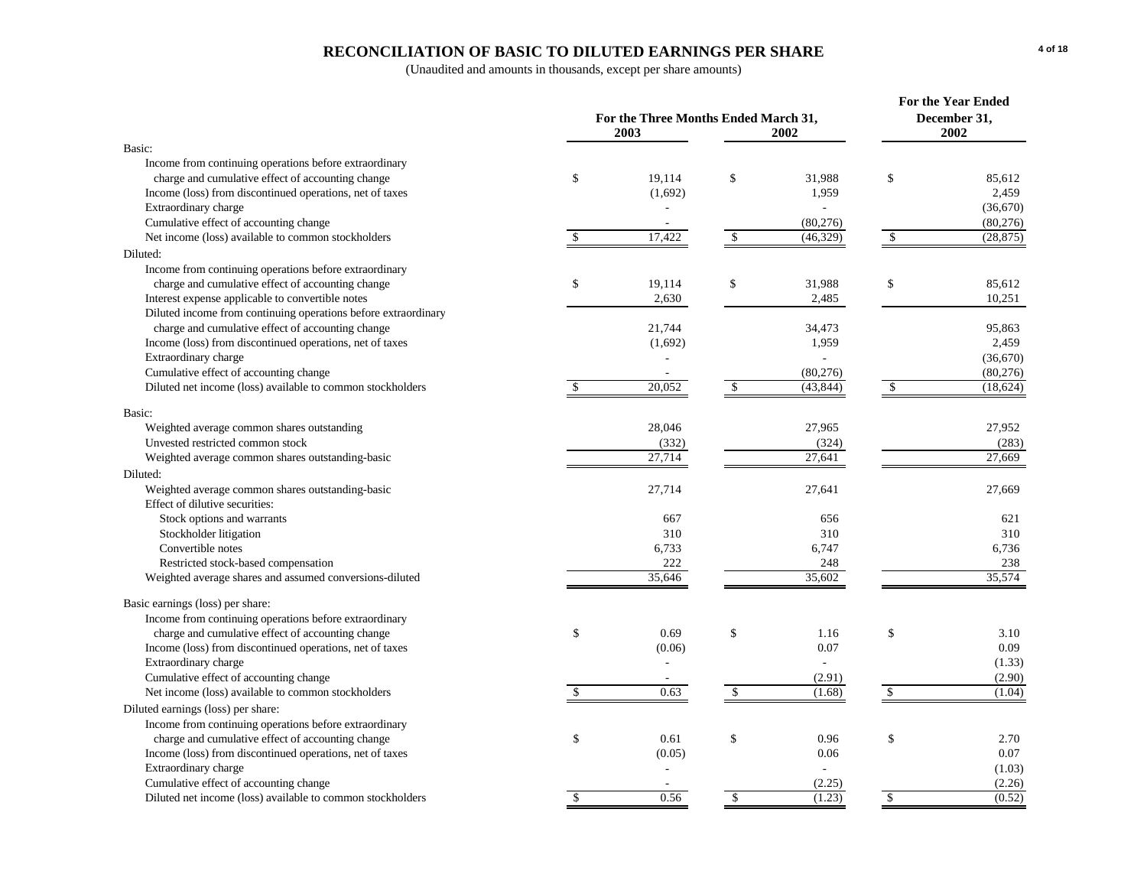# **RECONCILIATION OF BASIC TO DILUTED EARNINGS PER SHARE**

|                                                                |               | For the Three Months Ended March 31,<br>2003 | For the Year Ended<br>December 31,<br>2002 |           |               |           |
|----------------------------------------------------------------|---------------|----------------------------------------------|--------------------------------------------|-----------|---------------|-----------|
| Basic:                                                         |               |                                              |                                            |           |               |           |
| Income from continuing operations before extraordinary         |               |                                              |                                            |           |               |           |
| charge and cumulative effect of accounting change              | \$            | 19,114                                       | \$                                         | 31,988    | \$            | 85,612    |
| Income (loss) from discontinued operations, net of taxes       |               | (1,692)                                      |                                            | 1,959     |               | 2.459     |
| Extraordinary charge                                           |               |                                              |                                            |           |               | (36,670)  |
| Cumulative effect of accounting change                         |               |                                              |                                            | (80, 276) |               | (80, 276) |
| Net income (loss) available to common stockholders             | $\mathbb{S}$  | 17,422                                       | $\mathcal{S}$                              | (46, 329) | \$            | (28, 875) |
| Diluted:                                                       |               |                                              |                                            |           |               |           |
| Income from continuing operations before extraordinary         |               |                                              |                                            |           |               |           |
| charge and cumulative effect of accounting change              | \$            | 19,114                                       | \$                                         | 31,988    | \$            | 85,612    |
| Interest expense applicable to convertible notes               |               | 2,630                                        |                                            | 2,485     |               | 10,251    |
| Diluted income from continuing operations before extraordinary |               |                                              |                                            |           |               |           |
| charge and cumulative effect of accounting change              |               | 21,744                                       |                                            | 34,473    |               | 95,863    |
| Income (loss) from discontinued operations, net of taxes       |               | (1,692)                                      |                                            | 1,959     |               | 2,459     |
| Extraordinary charge                                           |               |                                              |                                            |           |               | (36,670)  |
| Cumulative effect of accounting change                         |               |                                              |                                            | (80, 276) |               | (80, 276) |
| Diluted net income (loss) available to common stockholders     | <sup>\$</sup> | 20,052                                       | \$                                         | (43, 844) | \$            | (18, 624) |
| Basic:                                                         |               |                                              |                                            |           |               |           |
| Weighted average common shares outstanding                     |               | 28,046                                       |                                            | 27,965    |               | 27,952    |
| Unvested restricted common stock                               |               | (332)                                        |                                            | (324)     |               | (283)     |
| Weighted average common shares outstanding-basic               |               | 27,714                                       |                                            | 27,641    |               | 27,669    |
| Diluted:                                                       |               |                                              |                                            |           |               |           |
| Weighted average common shares outstanding-basic               |               | 27,714                                       |                                            | 27,641    |               | 27,669    |
| Effect of dilutive securities:                                 |               |                                              |                                            |           |               |           |
| Stock options and warrants                                     |               | 667                                          |                                            | 656       |               | 621       |
| Stockholder litigation                                         |               | 310                                          |                                            | 310       |               | 310       |
| Convertible notes                                              |               | 6,733                                        |                                            | 6,747     |               | 6,736     |
| Restricted stock-based compensation                            |               | 222                                          |                                            | 248       |               | 238       |
| Weighted average shares and assumed conversions-diluted        |               | 35,646                                       |                                            | 35,602    |               | 35,574    |
|                                                                |               |                                              |                                            |           |               |           |
| Basic earnings (loss) per share:                               |               |                                              |                                            |           |               |           |
| Income from continuing operations before extraordinary         |               |                                              |                                            |           |               |           |
| charge and cumulative effect of accounting change              | \$            | 0.69                                         | \$                                         | 1.16      | \$            | 3.10      |
| Income (loss) from discontinued operations, net of taxes       |               | (0.06)                                       |                                            | 0.07      |               | 0.09      |
| Extraordinary charge                                           |               |                                              |                                            |           |               | (1.33)    |
| Cumulative effect of accounting change                         |               |                                              |                                            | (2.91)    |               | (2.90)    |
| Net income (loss) available to common stockholders             | $\mathbf{\$}$ | 0.63                                         | $\mathcal{S}$                              | (1.68)    | $\mathcal{S}$ | (1.04)    |
| Diluted earnings (loss) per share:                             |               |                                              |                                            |           |               |           |
| Income from continuing operations before extraordinary         |               |                                              |                                            |           |               |           |
| charge and cumulative effect of accounting change              | \$            | 0.61                                         | \$                                         | 0.96      | \$            | 2.70      |
| Income (loss) from discontinued operations, net of taxes       |               | (0.05)                                       |                                            | 0.06      |               | 0.07      |
| Extraordinary charge                                           |               |                                              |                                            |           |               | (1.03)    |
| Cumulative effect of accounting change                         |               |                                              |                                            | (2.25)    |               | (2.26)    |
| Diluted net income (loss) available to common stockholders     | <sup>\$</sup> | 0.56                                         | <sup>\$</sup>                              | (1.23)    | $\mathcal{S}$ | (0.52)    |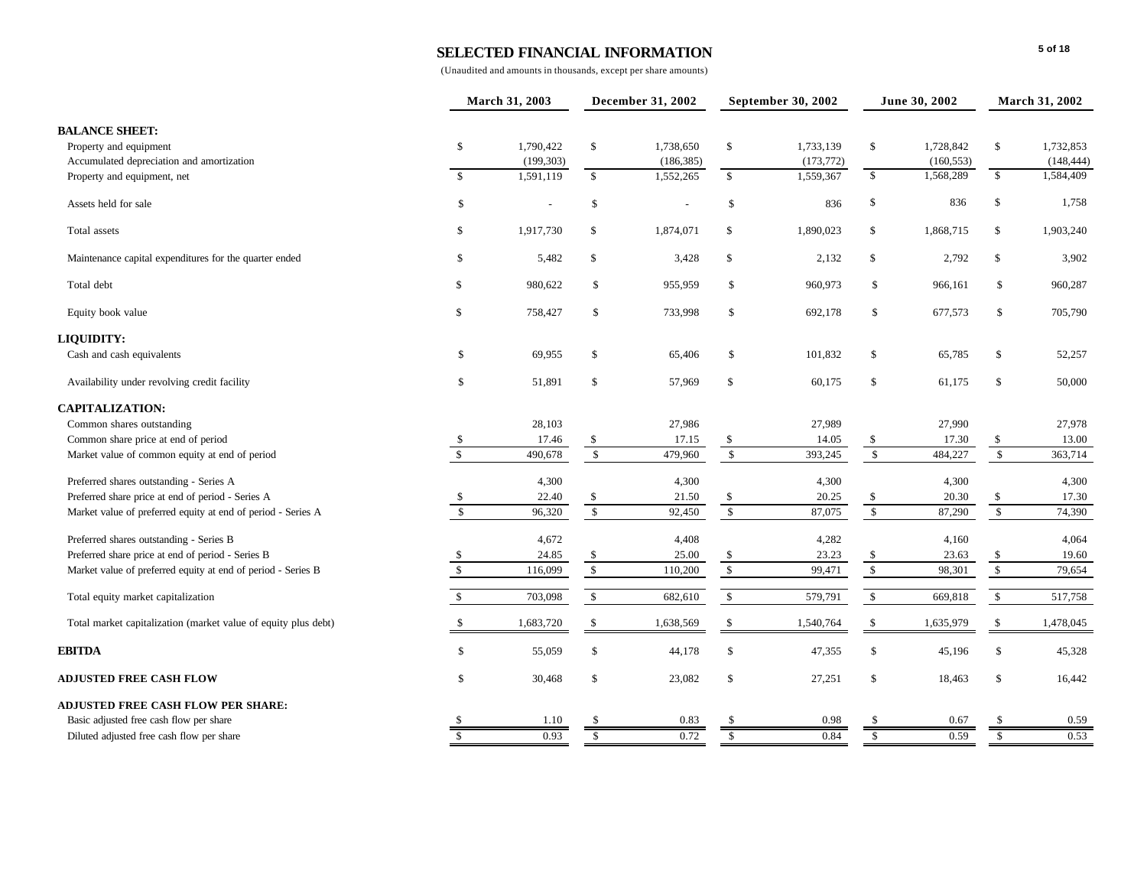|                                                                |                         | March 31, 2003 |                         | December 31, 2002 |                      | September 30, 2002 |                         | June 30, 2002           |                         | March 31, 2002          |  |
|----------------------------------------------------------------|-------------------------|----------------|-------------------------|-------------------|----------------------|--------------------|-------------------------|-------------------------|-------------------------|-------------------------|--|
| <b>BALANCE SHEET:</b>                                          |                         |                |                         |                   |                      |                    |                         |                         |                         |                         |  |
| Property and equipment                                         | $\mathbb{S}$            | 1,790,422      | $\mathbb{S}$            | 1,738,650         | \$                   | 1,733,139          | \$                      | 1,728,842               | \$                      | 1,732,853               |  |
| Accumulated depreciation and amortization                      |                         | (199, 303)     |                         | (186, 385)        |                      | (173, 772)         | \$                      | (160, 553)<br>1,568,289 | $\mathbb{S}$            | (148, 444)<br>1,584,409 |  |
| Property and equipment, net                                    | $\mathbf{s}$            | 1,591,119      | $\mathbf{s}$            | 1,552,265         | $\mathbf S$          | 1,559,367          |                         |                         |                         |                         |  |
| Assets held for sale                                           | \$                      |                | \$                      |                   | \$                   | 836                | \$                      | 836                     | \$                      | 1,758                   |  |
| Total assets                                                   | \$                      | 1,917,730      | \$                      | 1,874,071         | \$                   | 1,890,023          | \$                      | 1,868,715               | \$                      | 1,903,240               |  |
| Maintenance capital expenditures for the quarter ended         | \$                      | 5,482          | \$                      | 3,428             | \$                   | 2,132              | \$                      | 2,792                   | \$                      | 3,902                   |  |
| Total debt                                                     | \$                      | 980,622        | \$                      | 955,959           | \$                   | 960,973            | \$                      | 966,161                 | \$                      | 960,287                 |  |
| Equity book value                                              | \$                      | 758,427        | \$                      | 733,998           | \$                   | 692,178            | \$                      | 677,573                 | \$                      | 705,790                 |  |
| <b>LIQUIDITY:</b>                                              |                         |                |                         |                   |                      |                    |                         |                         |                         |                         |  |
| Cash and cash equivalents                                      | \$                      | 69,955         | \$                      | 65,406            | \$                   | 101,832            | \$                      | 65,785                  | \$                      | 52,257                  |  |
| Availability under revolving credit facility                   | \$                      | 51,891         | \$                      | 57,969            | $\mathbb{S}$         | 60,175             | \$                      | 61,175                  | \$                      | 50,000                  |  |
| <b>CAPITALIZATION:</b>                                         |                         |                |                         |                   |                      |                    |                         |                         |                         |                         |  |
| Common shares outstanding                                      |                         | 28,103         |                         | 27,986            |                      | 27,989             |                         | 27,990                  |                         | 27,978                  |  |
| Common share price at end of period                            | $\sqrt{\frac{2}{5}}$    | 17.46          | \$                      | 17.15             | \$                   | 14.05              | \$                      | 17.30                   | \$                      | 13.00                   |  |
| Market value of common equity at end of period                 | $\overline{\mathbf{s}}$ | 490,678        | $\mathbb{S}$            | 479,960           | $\sqrt[6]{3}$        | 393,245            | $\sqrt{3}$              | 484,227                 | $\sqrt{3}$              | 363,714                 |  |
| Preferred shares outstanding - Series A                        |                         | 4,300          |                         | 4,300             |                      | 4,300              |                         | 4,300                   |                         | 4,300                   |  |
| Preferred share price at end of period - Series A              |                         | 22.40          |                         | 21.50             | \$                   | 20.25              | \$                      | 20.30                   | \$                      | 17.30                   |  |
| Market value of preferred equity at end of period - Series A   | $\mathbf{\hat{s}}$      | 96,320         | $\mathbb{S}$            | 92,450            | $\mathbb{S}$         | 87,075             | $\mathbb{S}$            | 87,290                  | $\mathbb{S}$            | 74,390                  |  |
| Preferred shares outstanding - Series B                        |                         | 4,672          |                         | 4,408             |                      | 4,282              |                         | 4,160                   |                         | 4,064                   |  |
| Preferred share price at end of period - Series B              | \$                      | 24.85          | <sup>\$</sup>           | 25.00             | \$                   | 23.23              | \$                      | 23.63                   | \$                      | 19.60                   |  |
| Market value of preferred equity at end of period - Series B   | $\mathbb{S}$            | 116,099        | $\sqrt{\frac{2}{3}}$    | 110,200           | $\sqrt{\frac{2}{3}}$ | 99,471             | $\sqrt{3}$              | 98,301                  | $\sqrt{\frac{2}{3}}$    | 79,654                  |  |
| Total equity market capitalization                             | $\mathbf{s}$            | 703,098        | $\mathbb{S}$            | 682,610           | \$                   | 579,791            | $\mathbb{S}$            | 669,818                 | $\$$                    | 517,758                 |  |
| Total market capitalization (market value of equity plus debt) | $\mathbb{S}$            | 1,683,720      | $\mathbf{\hat{S}}$      | 1,638,569         | \$                   | 1,540,764          | \$                      | 1,635,979               | \$                      | 1,478,045               |  |
| <b>EBITDA</b>                                                  | \$                      | 55,059         | \$                      | 44,178            | $\mathsf{\$}$        | 47,355             | \$                      | 45,196                  | \$                      | 45,328                  |  |
| <b>ADJUSTED FREE CASH FLOW</b>                                 | \$                      | 30,468         | \$                      | 23,082            | \$                   | 27,251             | \$                      | 18,463                  | \$                      | 16,442                  |  |
| <b>ADJUSTED FREE CASH FLOW PER SHARE:</b>                      |                         |                |                         |                   |                      |                    |                         |                         |                         |                         |  |
| Basic adjusted free cash flow per share                        |                         | 1.10           | \$.                     | 0.83              |                      | 0.98               | \$                      | 0.67                    | <sup>\$</sup>           | 0.59                    |  |
| Diluted adjusted free cash flow per share                      | $\overline{\mathbf{s}}$ | 0.93           | $\overline{\mathbf{s}}$ | 0.72              | $\overline{s}$       | 0.84               | $\overline{\mathbf{s}}$ | 0.59                    | $\overline{\mathbf{s}}$ | 0.53                    |  |
|                                                                |                         |                |                         |                   |                      |                    |                         |                         |                         |                         |  |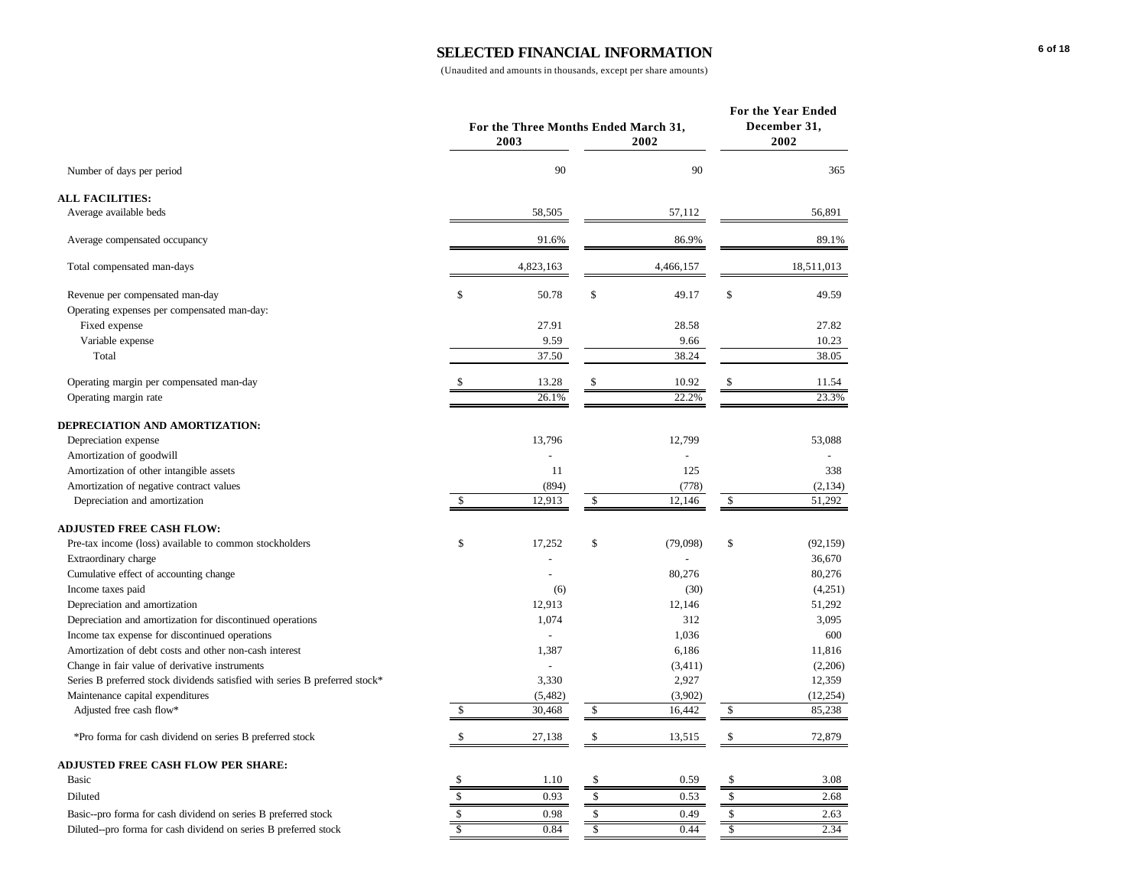|                                                                             | For the Three Months Ended March 31,<br>2003 | 2002 | For the Year Ended<br>December 31,<br>2002 |    |            |
|-----------------------------------------------------------------------------|----------------------------------------------|------|--------------------------------------------|----|------------|
| Number of days per period                                                   | 90                                           |      | 90                                         |    | 365        |
| <b>ALL FACILITIES:</b>                                                      |                                              |      |                                            |    |            |
| Average available beds                                                      | 58,505                                       |      | 57,112                                     |    | 56,891     |
| Average compensated occupancy                                               | 91.6%                                        |      | 86.9%                                      |    | 89.1%      |
| Total compensated man-days                                                  | 4,823,163                                    |      | 4,466,157                                  |    | 18,511,013 |
| Revenue per compensated man-day                                             | \$<br>50.78                                  | \$   | 49.17                                      | \$ | 49.59      |
| Operating expenses per compensated man-day:                                 |                                              |      |                                            |    |            |
| Fixed expense                                                               | 27.91                                        |      | 28.58                                      |    | 27.82      |
| Variable expense                                                            | 9.59                                         |      | 9.66                                       |    | 10.23      |
| Total                                                                       | 37.50                                        |      | 38.24                                      |    | 38.05      |
| Operating margin per compensated man-day                                    | 13.28                                        | \$   | 10.92                                      | \$ | 11.54      |
| Operating margin rate                                                       | 26.1%                                        |      | 22.2%                                      |    | 23.3%      |
| DEPRECIATION AND AMORTIZATION:                                              |                                              |      |                                            |    |            |
| Depreciation expense                                                        | 13,796                                       |      | 12,799                                     |    | 53,088     |
| Amortization of goodwill                                                    |                                              |      |                                            |    |            |
| Amortization of other intangible assets                                     | 11                                           |      | 125                                        |    | 338        |
| Amortization of negative contract values                                    | (894)                                        |      | (778)                                      |    | (2, 134)   |
| Depreciation and amortization                                               | \$<br>12,913                                 | \$   | 12,146                                     | \$ | 51,292     |
| <b>ADJUSTED FREE CASH FLOW:</b>                                             |                                              |      |                                            |    |            |
| Pre-tax income (loss) available to common stockholders                      | \$<br>17,252                                 | \$   | (79,098)                                   | \$ | (92, 159)  |
| Extraordinary charge                                                        |                                              |      |                                            |    | 36,670     |
| Cumulative effect of accounting change                                      |                                              |      | 80,276                                     |    | 80,276     |
| Income taxes paid                                                           | (6)                                          |      | (30)                                       |    | (4,251)    |
| Depreciation and amortization                                               | 12,913                                       |      | 12,146                                     |    | 51,292     |
| Depreciation and amortization for discontinued operations                   | 1,074                                        |      | 312                                        |    | 3,095      |
| Income tax expense for discontinued operations                              |                                              |      | 1,036                                      |    | 600        |
| Amortization of debt costs and other non-cash interest                      | 1,387                                        |      | 6,186                                      |    | 11,816     |
| Change in fair value of derivative instruments                              |                                              |      | (3, 411)                                   |    | (2,206)    |
| Series B preferred stock dividends satisfied with series B preferred stock* | 3,330                                        |      | 2,927                                      |    | 12,359     |
| Maintenance capital expenditures                                            | (5,482)                                      |      | (3,902)                                    |    | (12, 254)  |
| Adjusted free cash flow*                                                    | \$<br>30,468                                 | \$   | 16,442                                     | \$ | 85,238     |
| *Pro forma for cash dividend on series B preferred stock                    | \$<br>27,138                                 | \$   | 13,515                                     | \$ | 72,879     |
| <b>ADJUSTED FREE CASH FLOW PER SHARE:</b>                                   |                                              |      |                                            |    |            |
| Basic                                                                       | \$<br>1.10                                   | \$   | 0.59                                       | \$ | 3.08       |
| Diluted                                                                     | \$<br>0.93                                   | \$   | 0.53                                       | \$ | 2.68       |
| Basic--pro forma for cash dividend on series B preferred stock              | \$<br>0.98                                   | \$   | 0.49                                       | \$ | 2.63       |
| Diluted--pro forma for cash dividend on series B preferred stock            | \$<br>0.84                                   | \$   | 0.44                                       | \$ | 2.34       |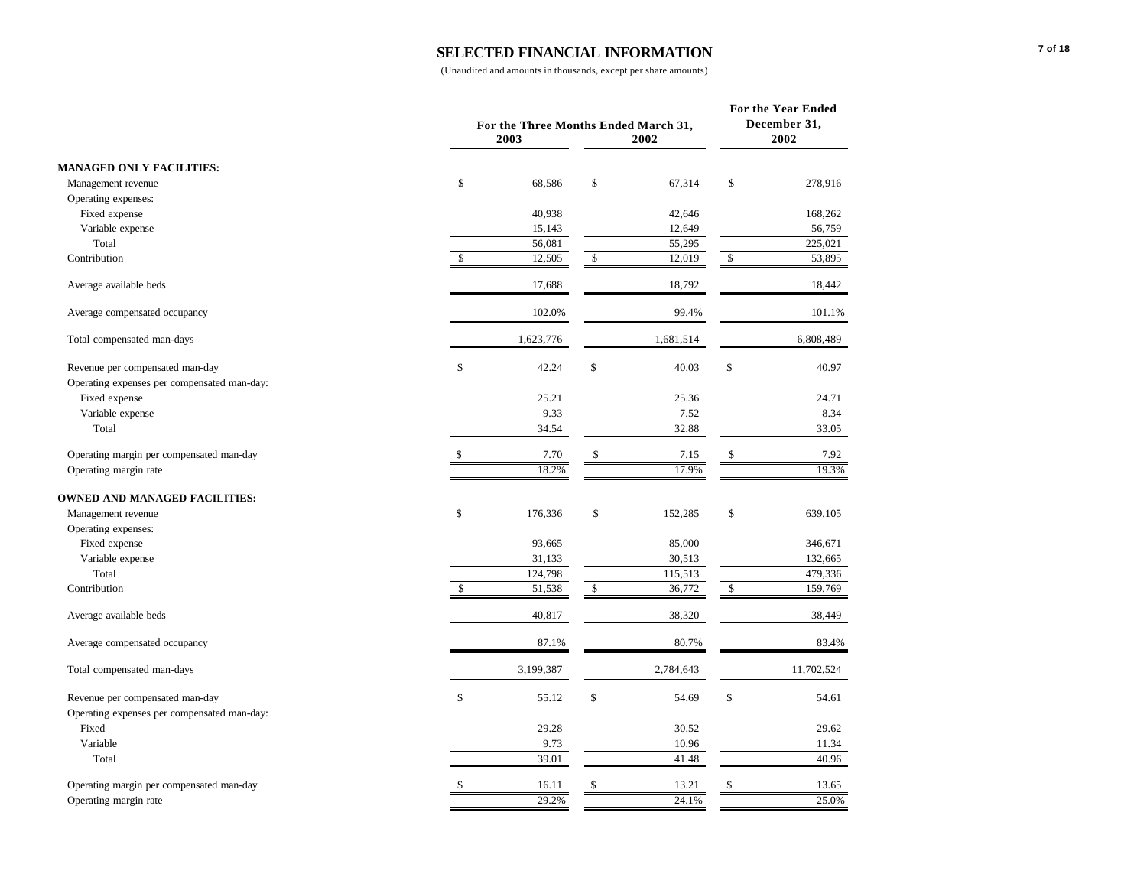|                                             |     | For the Three Months Ended March 31,<br>2003<br>2002 |              |           |             |            |  |
|---------------------------------------------|-----|------------------------------------------------------|--------------|-----------|-------------|------------|--|
| <b>MANAGED ONLY FACILITIES:</b>             |     |                                                      |              |           |             |            |  |
| Management revenue                          | \$  | 68,586                                               | \$           | 67,314    | \$          | 278,916    |  |
| Operating expenses:                         |     |                                                      |              |           |             |            |  |
| Fixed expense                               |     | 40,938                                               |              | 42,646    |             | 168,262    |  |
| Variable expense                            |     | 15,143                                               |              | 12,649    |             | 56,759     |  |
| Total                                       |     | 56,081                                               |              | 55,295    |             | 225,021    |  |
| Contribution                                | \$  | 12,505                                               | \$           | 12,019    | \$          | 53,895     |  |
| Average available beds                      |     | 17,688                                               |              | 18,792    |             | 18,442     |  |
| Average compensated occupancy               |     | 102.0%                                               |              | 99.4%     |             | 101.1%     |  |
| Total compensated man-days                  |     | 1,623,776                                            |              | 1,681,514 |             | 6,808,489  |  |
| Revenue per compensated man-day             | \$  | 42.24                                                | \$           | 40.03     | \$          | 40.97      |  |
| Operating expenses per compensated man-day: |     |                                                      |              |           |             |            |  |
| Fixed expense                               |     | 25.21                                                |              | 25.36     |             | 24.71      |  |
| Variable expense                            |     | 9.33                                                 |              | 7.52      |             | 8.34       |  |
| Total                                       |     | 34.54                                                |              | 32.88     |             | 33.05      |  |
| Operating margin per compensated man-day    | \$. | 7.70                                                 | \$           | 7.15      | \$          | 7.92       |  |
| Operating margin rate                       |     | 18.2%                                                |              | 17.9%     |             | 19.3%      |  |
| <b>OWNED AND MANAGED FACILITIES:</b>        |     |                                                      |              |           |             |            |  |
| Management revenue                          | \$  | 176,336                                              | \$           | 152,285   | \$          | 639,105    |  |
| Operating expenses:                         |     |                                                      |              |           |             |            |  |
| Fixed expense                               |     | 93,665                                               |              | 85,000    |             | 346,671    |  |
| Variable expense                            |     | 31,133                                               |              | 30,513    |             | 132,665    |  |
| Total                                       |     | 124,798                                              |              | 115,513   |             | 479,336    |  |
| Contribution                                | \$  | 51,538                                               | $\mathbb{S}$ | 36,772    | $\mathbb S$ | 159,769    |  |
| Average available beds                      |     | 40,817                                               |              | 38,320    |             | 38,449     |  |
| Average compensated occupancy               |     | 87.1%                                                |              | 80.7%     |             | 83.4%      |  |
| Total compensated man-days                  |     | 3,199,387                                            |              | 2,784,643 |             | 11,702,524 |  |
| Revenue per compensated man-day             | \$  | 55.12                                                | \$           | 54.69     | \$          | 54.61      |  |
| Operating expenses per compensated man-day: |     |                                                      |              |           |             |            |  |
| Fixed                                       |     | 29.28                                                |              | 30.52     |             | 29.62      |  |
| Variable                                    |     | 9.73                                                 |              | 10.96     |             | 11.34      |  |
| Total                                       |     | 39.01                                                |              | 41.48     |             | 40.96      |  |
| Operating margin per compensated man-day    | \$  | 16.11                                                | \$           | 13.21     | \$          | 13.65      |  |
| Operating margin rate                       |     | 29.2%                                                |              | 24.1%     |             | 25.0%      |  |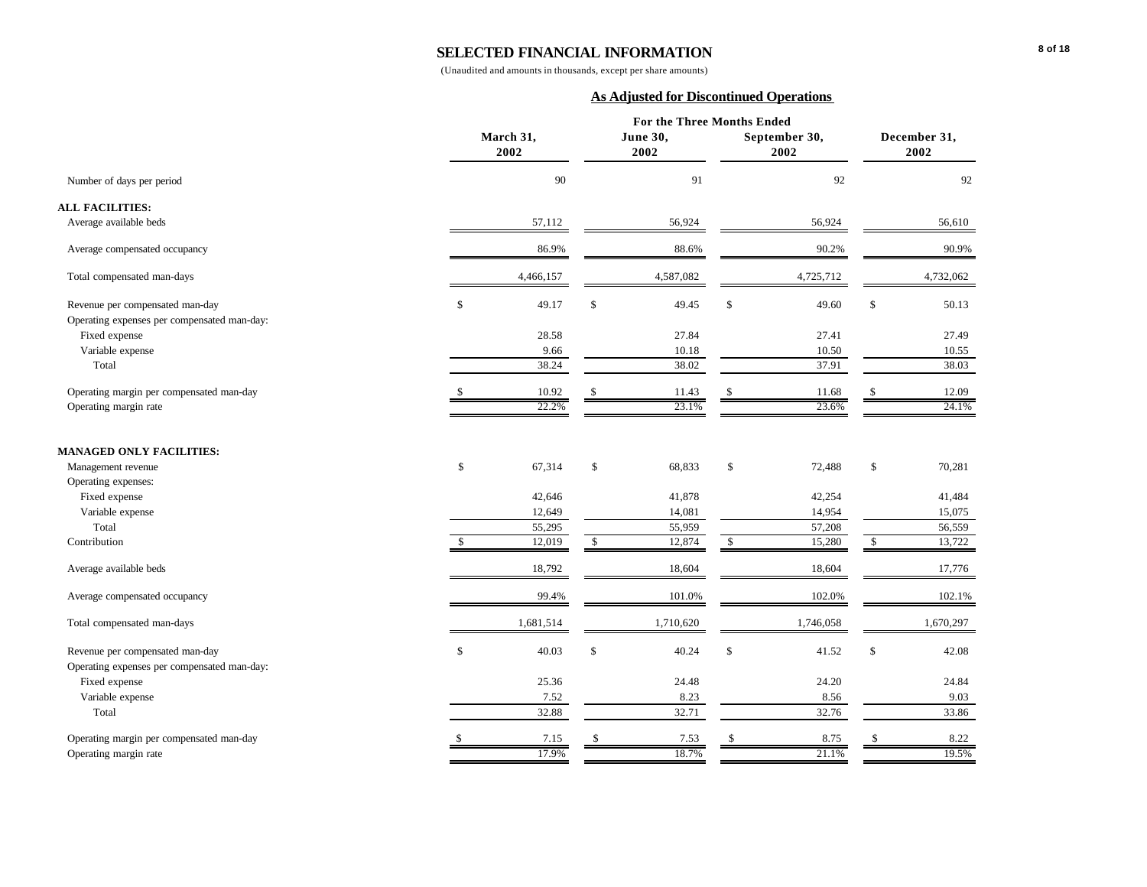(Unaudited and amounts in thousands, except per share amounts)

#### **As Adjusted for Discontinued Operations**

|                                                                                |                   | For the Three Months Ended |                        |                        |
|--------------------------------------------------------------------------------|-------------------|----------------------------|------------------------|------------------------|
|                                                                                | March 31,<br>2002 | June 30,<br>2002           | September 30,<br>2002  | December 31,<br>2002   |
| Number of days per period                                                      | 90                | 91                         | 92                     | 92                     |
| <b>ALL FACILITIES:</b>                                                         |                   |                            |                        |                        |
| Average available beds                                                         | 57,112            | 56,924                     | 56,924                 | 56,610                 |
| Average compensated occupancy                                                  | 86.9%             | 88.6%                      | 90.2%                  | 90.9%                  |
| Total compensated man-days                                                     | 4,466,157         | 4,587,082                  | 4,725,712              | 4,732,062              |
| Revenue per compensated man-day                                                | \$<br>49.17       | \$<br>49.45                | \$<br>49.60            | \$<br>50.13            |
| Operating expenses per compensated man-day:                                    |                   |                            |                        |                        |
| Fixed expense                                                                  | 28.58             | 27.84                      | 27.41                  | 27.49                  |
| Variable expense                                                               | 9.66              | 10.18                      | 10.50                  | 10.55                  |
| Total                                                                          | 38.24             | 38.02                      | 37.91                  | 38.03                  |
| Operating margin per compensated man-day                                       | 10.92             | 11.43                      | 11.68                  | 12.09                  |
| Operating margin rate                                                          | 22.2%             | 23.1%                      | 23.6%                  | 24.1%                  |
| <b>MANAGED ONLY FACILITIES:</b><br>Management revenue                          | \$<br>67,314      | \$<br>68,833               | \$<br>72,488           | \$<br>70,281           |
| Operating expenses:                                                            |                   |                            |                        |                        |
| Fixed expense                                                                  | 42,646            | 41,878                     | 42,254                 | 41,484                 |
| Variable expense                                                               | 12,649            | 14,081                     | 14,954                 | 15,075                 |
| Total                                                                          |                   |                            |                        |                        |
| Contribution                                                                   | 55,295<br>12,019  | \$<br>55,959<br>12,874     | \$<br>57,208<br>15,280 | \$<br>56,559<br>13,722 |
| Average available beds                                                         | 18,792            | 18,604                     | 18,604                 | 17,776                 |
| Average compensated occupancy                                                  | 99.4%             | 101.0%                     | 102.0%                 | 102.1%                 |
| Total compensated man-days                                                     | 1,681,514         | 1,710,620                  | 1,746,058              | 1,670,297              |
| Revenue per compensated man-day<br>Operating expenses per compensated man-day: | \$<br>40.03       | \$<br>40.24                | \$<br>41.52            | \$<br>42.08            |
| Fixed expense                                                                  | 25.36             | 24.48                      | 24.20                  | 24.84                  |
| Variable expense                                                               | 7.52              | 8.23                       | 8.56                   | 9.03                   |
| Total                                                                          | 32.88             | 32.71                      | 32.76                  | 33.86                  |
| Operating margin per compensated man-day                                       | 7.15              | 7.53                       | 8.75                   | 8.22                   |
| Operating margin rate                                                          | 17.9%             | 18.7%                      | 21.1%                  | 19.5%                  |
|                                                                                |                   |                            |                        |                        |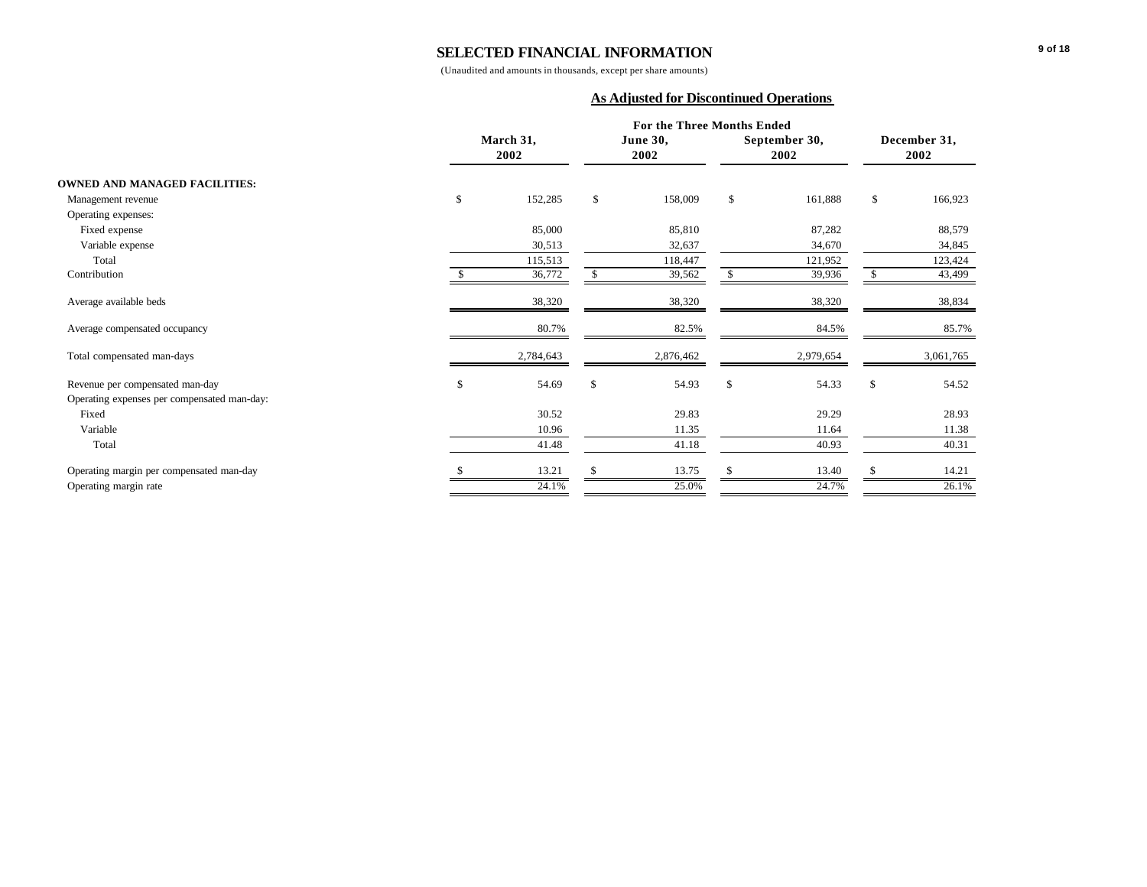(Unaudited and amounts in thousands, except per share amounts)

#### **As Adjusted for Discontinued Operations**

|                                             | For the Three Months Ended |              |                  |    |                       |                      |           |  |  |
|---------------------------------------------|----------------------------|--------------|------------------|----|-----------------------|----------------------|-----------|--|--|
|                                             | March 31,<br>2002          |              | June 30,<br>2002 |    | September 30,<br>2002 | December 31,<br>2002 |           |  |  |
| <b>OWNED AND MANAGED FACILITIES:</b>        |                            |              |                  |    |                       |                      |           |  |  |
| Management revenue                          | \$<br>152,285              | \$           | 158,009          | \$ | 161,888               | \$                   | 166,923   |  |  |
| Operating expenses:                         |                            |              |                  |    |                       |                      |           |  |  |
| Fixed expense                               | 85,000                     |              | 85,810           |    | 87,282                |                      | 88,579    |  |  |
| Variable expense                            | 30,513                     |              | 32,637           |    | 34,670                |                      | 34,845    |  |  |
| Total                                       | 115,513                    |              | 118,447          |    | 121,952               |                      | 123,424   |  |  |
| Contribution                                | 36,772                     | \$           | 39,562           |    | 39,936                | \$                   | 43,499    |  |  |
| Average available beds                      | 38,320                     |              | 38,320           |    | 38,320                |                      | 38,834    |  |  |
| Average compensated occupancy               | 80.7%                      |              | 82.5%            |    | 84.5%                 |                      | 85.7%     |  |  |
| Total compensated man-days                  | 2,784,643                  |              | 2,876,462        |    | 2,979,654             |                      | 3,061,765 |  |  |
| Revenue per compensated man-day             | \$<br>54.69                | $\mathbf{s}$ | 54.93            | \$ | 54.33                 | \$                   | 54.52     |  |  |
| Operating expenses per compensated man-day: |                            |              |                  |    |                       |                      |           |  |  |
| Fixed                                       | 30.52                      |              | 29.83            |    | 29.29                 |                      | 28.93     |  |  |
| Variable                                    | 10.96                      |              | 11.35            |    | 11.64                 |                      | 11.38     |  |  |
| Total                                       | 41.48                      |              | 41.18            |    | 40.93                 |                      | 40.31     |  |  |
| Operating margin per compensated man-day    | 13.21                      | -S           | 13.75            |    | 13.40                 | S                    | 14.21     |  |  |
| Operating margin rate                       | 24.1%                      |              | 25.0%            |    | 24.7%                 |                      | 26.1%     |  |  |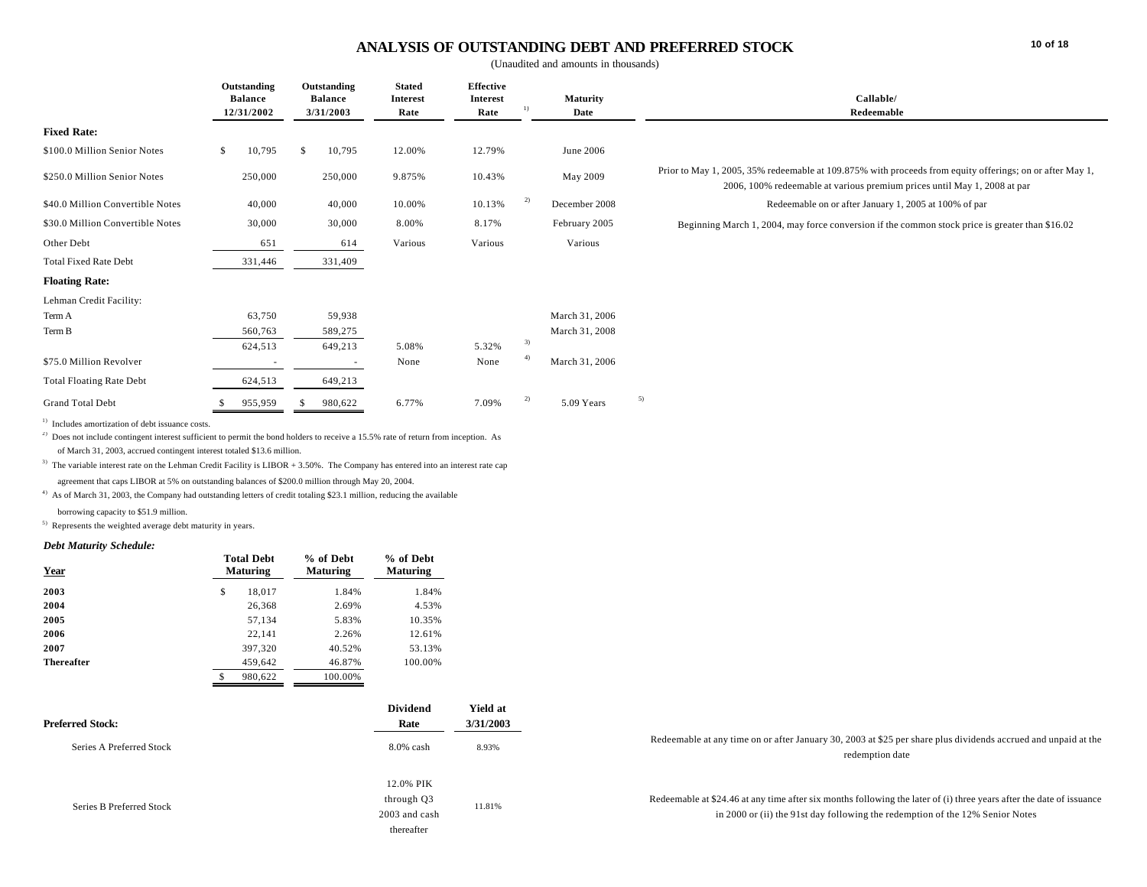# **ANALYSIS OF OUTSTANDING DEBT AND PREFERRED STOCK**

(Unaudited and amounts in thousands)

|                                                                                      | Outstanding<br><b>Balance</b><br>12/31/2002 | Outstanding<br><b>Balance</b> | <b>Stated</b><br><b>Interest</b> | Effective<br><b>Interest</b> | $\left( \frac{1}{2} \right)$ | <b>Maturity</b> | Callable/<br>Redeemable                                                                                                                                                              |
|--------------------------------------------------------------------------------------|---------------------------------------------|-------------------------------|----------------------------------|------------------------------|------------------------------|-----------------|--------------------------------------------------------------------------------------------------------------------------------------------------------------------------------------|
|                                                                                      |                                             | 3/31/2003                     | Rate                             | Rate                         |                              | Date            |                                                                                                                                                                                      |
| <b>Fixed Rate:</b>                                                                   |                                             |                               |                                  |                              |                              |                 |                                                                                                                                                                                      |
| \$100.0 Million Senior Notes                                                         | 10,795<br>\$                                | 10,795<br>-S                  | 12.00%                           | 12.79%                       |                              | June 2006       |                                                                                                                                                                                      |
| \$250.0 Million Senior Notes                                                         | 250,000                                     | 250,000                       | 9.875%                           | 10.43%                       |                              | May 2009        | Prior to May 1, 2005, 35% redeemable at 109.875% with proceeds from equity offerings; on or after May 1,<br>2006, 100% redeemable at various premium prices until May 1, 2008 at par |
| \$40.0 Million Convertible Notes                                                     | 40,000                                      | 40,000                        | 10.00%                           | 10.13%                       | $\overline{2}$               | December 2008   | Redeemable on or after January 1, 2005 at 100% of par                                                                                                                                |
| \$30.0 Million Convertible Notes                                                     | 30,000                                      | 30,000                        | 8.00%                            | 8.17%                        |                              | February 2005   | Beginning March 1, 2004, may force conversion if the common stock price is greater than \$16.02                                                                                      |
| Other Debt                                                                           | 651                                         | 614                           | Various                          | Various                      |                              | Various         |                                                                                                                                                                                      |
| <b>Total Fixed Rate Debt</b>                                                         | 331,446                                     | 331,409                       |                                  |                              |                              |                 |                                                                                                                                                                                      |
| <b>Floating Rate:</b>                                                                |                                             |                               |                                  |                              |                              |                 |                                                                                                                                                                                      |
| Lehman Credit Facility:                                                              |                                             |                               |                                  |                              |                              |                 |                                                                                                                                                                                      |
| Term A                                                                               | 63,750                                      | 59,938                        |                                  |                              |                              | March 31, 2006  |                                                                                                                                                                                      |
| Term B                                                                               | 560,763                                     | 589,275                       |                                  |                              |                              | March 31, 2008  |                                                                                                                                                                                      |
|                                                                                      | 624,513                                     | 649,213                       | 5.08%                            | 5.32%                        | 3)                           |                 |                                                                                                                                                                                      |
| \$75.0 Million Revolver                                                              |                                             |                               | None                             | None                         | $^{(4)}$                     | March 31, 2006  |                                                                                                                                                                                      |
| <b>Total Floating Rate Debt</b>                                                      | 624,513                                     | 649,213                       |                                  |                              |                              |                 |                                                                                                                                                                                      |
| <b>Grand Total Debt</b><br>$\mathbf{D}$ and $\mathbf{D}$ are the set of $\mathbf{D}$ | 955,959                                     | 980,622                       | 6.77%                            | 7.09%                        | 2)                           | 5.09 Years      | 5)                                                                                                                                                                                   |

1) Includes amortization of debt issuance costs.

<sup>2)</sup> Does not include contingent interest sufficient to permit the bond holders to receive a 15.5% rate of return from inception. As

of March 31, 2003, accrued contingent interest totaled \$13.6 million.

<sup>3)</sup> The variable interest rate on the Lehman Credit Facility is LIBOR + 3.50%. The Company has entered into an interest rate cap agreement that caps LIBOR at 5% on outstanding balances of \$200.0 million through May 20, 2004.

<sup>4)</sup> As of March 31, 2003, the Company had outstanding letters of credit totaling \$23.1 million, reducing the available borrowing capacity to \$51.9 million.

5) Represents the weighted average debt maturity in years.

#### *Debt Maturity Schedule:*

| Year              | <b>Total Debt</b><br><b>Maturing</b> | % of Debt<br><b>Maturing</b> | % of Debt<br><b>Maturing</b> |
|-------------------|--------------------------------------|------------------------------|------------------------------|
| 2003              | \$<br>18.017                         | 1.84%                        | 1.84%                        |
| 2004              | 26,368                               | 2.69%                        | 4.53%                        |
| 2005              | 57,134                               | 5.83%                        | 10.35%                       |
| 2006              | 22.141                               | 2.26%                        | 12.61%                       |
| 2007              | 397,320                              | 40.52%                       | 53.13%                       |
| <b>Thereafter</b> | 459.642                              | 46.87%                       | 100.00%                      |
|                   | \$<br>980.622                        | 100.00%                      |                              |

| <b>Preferred Stock:</b>  | Dividend<br>Rate                                       | <b>Yield at</b><br>3/31/2003 |                                                                                                                                                                                                       |
|--------------------------|--------------------------------------------------------|------------------------------|-------------------------------------------------------------------------------------------------------------------------------------------------------------------------------------------------------|
| Series A Preferred Stock | $8.0\%$ cash                                           | 8.93%                        | Redeemable at any time on or after January 30, 2003 at \$25 per share plus dividends accrued and unpaid at the<br>redemption date                                                                     |
| Series B Preferred Stock | 12.0% PIK<br>through Q3<br>2003 and cash<br>thereafter | 11.81%                       | Redeemable at \$24.46 at any time after six months following the later of (i) three years after the date of issuance<br>in 2000 or (ii) the 91st day following the redemption of the 12% Senior Notes |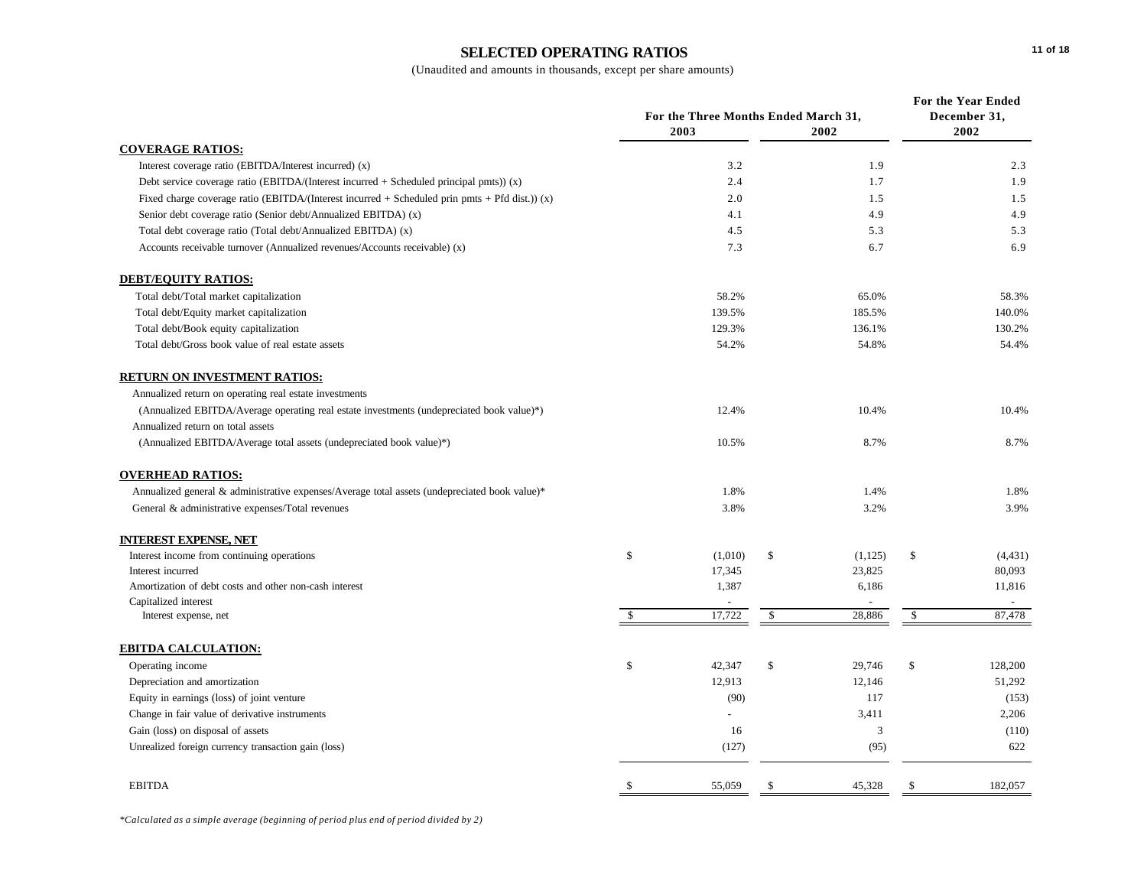# **SELECTED OPERATING RATIOS**

|                                                                                                | For the Three Months Ended March 31, |         |              |         | For the Year Ended<br>December 31, |          |
|------------------------------------------------------------------------------------------------|--------------------------------------|---------|--------------|---------|------------------------------------|----------|
|                                                                                                |                                      | 2003    |              | 2002    |                                    | 2002     |
| <b>COVERAGE RATIOS:</b>                                                                        |                                      |         |              |         |                                    |          |
| Interest coverage ratio (EBITDA/Interest incurred) (x)                                         |                                      | 3.2     |              | 1.9     |                                    | 2.3      |
| Debt service coverage ratio (EBITDA/(Interest incurred $+$ Scheduled principal pmts)) (x)      |                                      | 2.4     |              | 1.7     |                                    | 1.9      |
| Fixed charge coverage ratio (EBITDA/(Interest incurred + Scheduled prin pmts + Pfd dist.)) (x) |                                      | 2.0     |              | 1.5     |                                    | 1.5      |
| Senior debt coverage ratio (Senior debt/Annualized EBITDA) (x)                                 |                                      | 4.1     |              | 4.9     |                                    | 4.9      |
| Total debt coverage ratio (Total debt/Annualized EBITDA) (x)                                   |                                      | 4.5     |              | 5.3     |                                    | 5.3      |
| Accounts receivable turnover (Annualized revenues/Accounts receivable) (x)                     |                                      | 7.3     |              | 6.7     |                                    | 6.9      |
| <b>DEBT/EQUITY RATIOS:</b>                                                                     |                                      |         |              |         |                                    |          |
| Total debt/Total market capitalization                                                         |                                      | 58.2%   |              | 65.0%   |                                    | 58.3%    |
| Total debt/Equity market capitalization                                                        |                                      | 139.5%  |              | 185.5%  |                                    | 140.0%   |
| Total debt/Book equity capitalization                                                          |                                      | 129.3%  |              | 136.1%  |                                    | 130.2%   |
| Total debt/Gross book value of real estate assets                                              |                                      | 54.2%   |              | 54.8%   |                                    | 54.4%    |
| <b>RETURN ON INVESTMENT RATIOS:</b>                                                            |                                      |         |              |         |                                    |          |
| Annualized return on operating real estate investments                                         |                                      |         |              |         |                                    |          |
| (Annualized EBITDA/Average operating real estate investments (undepreciated book value)*)      |                                      | 12.4%   |              | 10.4%   |                                    | 10.4%    |
| Annualized return on total assets                                                              |                                      |         |              |         |                                    |          |
| (Annualized EBITDA/Average total assets (undepreciated book value)*)                           |                                      | 10.5%   |              | 8.7%    |                                    | 8.7%     |
| <b>OVERHEAD RATIOS:</b>                                                                        |                                      |         |              |         |                                    |          |
| Annualized general & administrative expenses/Average total assets (undepreciated book value)*  |                                      | 1.8%    |              | 1.4%    |                                    | 1.8%     |
| General & administrative expenses/Total revenues                                               |                                      | 3.8%    |              | 3.2%    |                                    | 3.9%     |
| <b>INTEREST EXPENSE, NET</b>                                                                   |                                      |         |              |         |                                    |          |
| Interest income from continuing operations                                                     | \$                                   | (1,010) | \$           | (1,125) | \$                                 | (4, 431) |
| Interest incurred                                                                              |                                      | 17,345  |              | 23,825  |                                    | 80,093   |
| Amortization of debt costs and other non-cash interest                                         |                                      | 1,387   |              | 6,186   |                                    | 11,816   |
| Capitalized interest                                                                           |                                      |         |              |         |                                    |          |
| Interest expense, net                                                                          | $\mathbf S$                          | 17,722  | $\mathbb{S}$ | 28,886  | \$                                 | 87,478   |
| <b>EBITDA CALCULATION:</b>                                                                     |                                      |         |              |         |                                    |          |
| Operating income                                                                               | \$                                   | 42,347  | \$           | 29,746  | \$                                 | 128,200  |
| Depreciation and amortization                                                                  |                                      | 12,913  |              | 12,146  |                                    | 51,292   |
| Equity in earnings (loss) of joint venture                                                     |                                      | (90)    |              | 117     |                                    | (153)    |
| Change in fair value of derivative instruments                                                 |                                      |         |              | 3,411   |                                    | 2,206    |
| Gain (loss) on disposal of assets                                                              |                                      | 16      |              | 3       |                                    | (110)    |
| Unrealized foreign currency transaction gain (loss)                                            |                                      | (127)   |              | (95)    |                                    | 622      |
| <b>EBITDA</b>                                                                                  | <sup>\$</sup>                        | 55,059  | \$           | 45,328  | \$                                 | 182,057  |
|                                                                                                |                                      |         |              |         |                                    |          |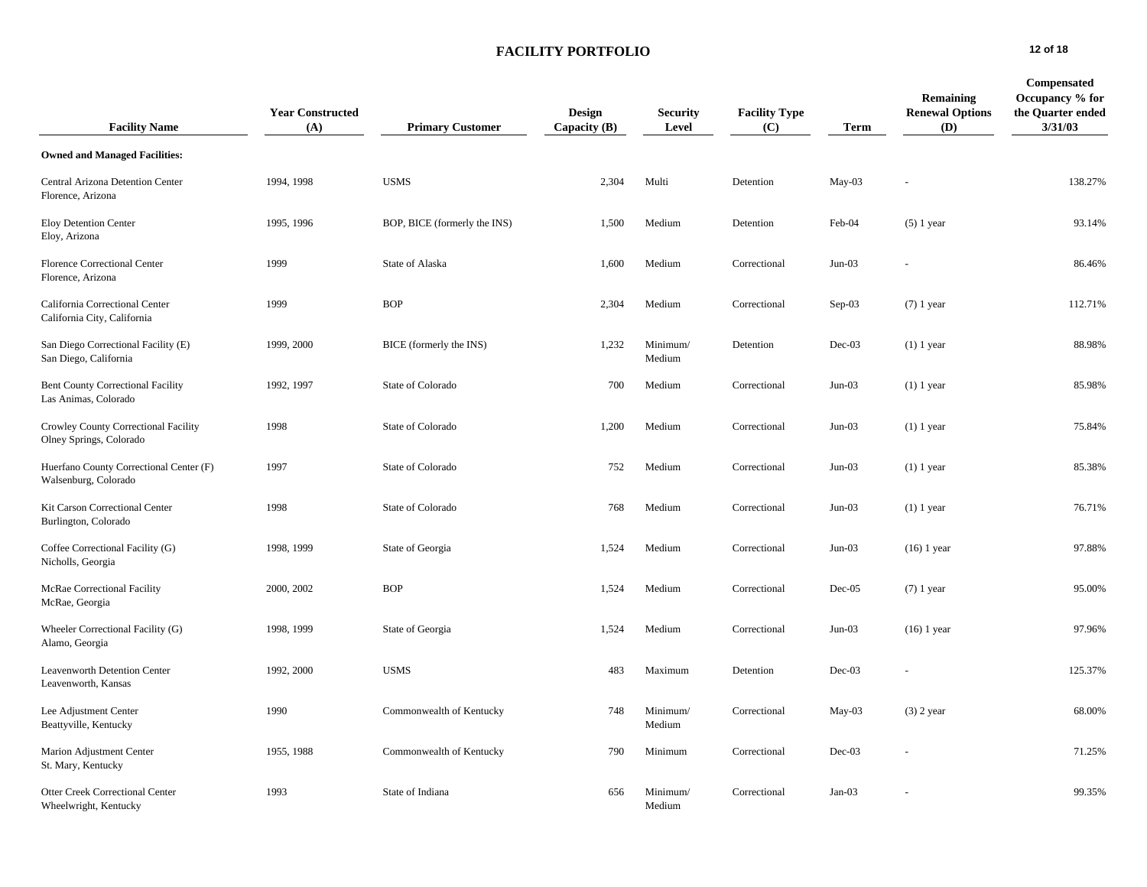# **FACILITY PORTFOLIO 12 of 18**

| <b>Facility Name</b>                                             | <b>Year Constructed</b><br>(A) | <b>Primary Customer</b>      | Design<br>Capacity $(B)$ | <b>Security</b><br>Level | <b>Facility Type</b><br>(C) | Term     | Remaining<br><b>Renewal Options</b><br>(D) | Compensated<br>Occupancy % for<br>the Quarter ended<br>3/31/03 |
|------------------------------------------------------------------|--------------------------------|------------------------------|--------------------------|--------------------------|-----------------------------|----------|--------------------------------------------|----------------------------------------------------------------|
| <b>Owned and Managed Facilities:</b>                             |                                |                              |                          |                          |                             |          |                                            |                                                                |
| Central Arizona Detention Center<br>Florence, Arizona            | 1994, 1998                     | <b>USMS</b>                  | 2,304                    | Multi                    | Detention                   | $May-03$ |                                            | 138.27%                                                        |
| <b>Eloy Detention Center</b><br>Eloy, Arizona                    | 1995, 1996                     | BOP, BICE (formerly the INS) | 1,500                    | Medium                   | Detention                   | Feb-04   | $(5)$ 1 year                               | 93.14%                                                         |
| Florence Correctional Center<br>Florence, Arizona                | 1999                           | State of Alaska              | 1,600                    | Medium                   | Correctional                | $Jun-03$ |                                            | 86.46%                                                         |
| California Correctional Center<br>California City, California    | 1999                           | <b>BOP</b>                   | 2,304                    | Medium                   | Correctional                | Sep-03   | $(7)$ 1 year                               | 112.71%                                                        |
| San Diego Correctional Facility (E)<br>San Diego, California     | 1999, 2000                     | BICE (formerly the INS)      | 1,232                    | Minimum/<br>Medium       | Detention                   | Dec-03   | $(1)$ 1 year                               | 88.98%                                                         |
| <b>Bent County Correctional Facility</b><br>Las Animas, Colorado | 1992, 1997                     | State of Colorado            | 700                      | Medium                   | Correctional                | $Jun-03$ | $(1)$ 1 year                               | 85.98%                                                         |
| Crowley County Correctional Facility<br>Olney Springs, Colorado  | 1998                           | State of Colorado            | 1,200                    | Medium                   | Correctional                | $Jun-03$ | $(1)$ 1 year                               | 75.84%                                                         |
| Huerfano County Correctional Center (F)<br>Walsenburg, Colorado  | 1997                           | State of Colorado            | 752                      | Medium                   | Correctional                | $Jun-03$ | $(1)$ 1 year                               | 85.38%                                                         |
| Kit Carson Correctional Center<br>Burlington, Colorado           | 1998                           | State of Colorado            | 768                      | Medium                   | Correctional                | $Jun-03$ | $(1)$ 1 year                               | 76.71%                                                         |
| Coffee Correctional Facility (G)<br>Nicholls, Georgia            | 1998, 1999                     | State of Georgia             | 1,524                    | Medium                   | Correctional                | $Jun-03$ | $(16)$ 1 year                              | 97.88%                                                         |
| McRae Correctional Facility<br>McRae, Georgia                    | 2000, 2002                     | <b>BOP</b>                   | 1,524                    | Medium                   | Correctional                | $Dec-05$ | $(7)$ 1 year                               | 95.00%                                                         |
| Wheeler Correctional Facility (G)<br>Alamo, Georgia              | 1998, 1999                     | State of Georgia             | 1,524                    | Medium                   | Correctional                | $Jun-03$ | $(16)$ 1 year                              | 97.96%                                                         |
| Leavenworth Detention Center<br>Leavenworth, Kansas              | 1992, 2000                     | <b>USMS</b>                  | 483                      | Maximum                  | Detention                   | $Dec-03$ |                                            | 125.37%                                                        |
| Lee Adjustment Center<br>Beattyville, Kentucky                   | 1990                           | Commonwealth of Kentucky     | 748                      | Minimum/<br>Medium       | Correctional                | May-03   | $(3)$ 2 year                               | 68.00%                                                         |
| Marion Adjustment Center<br>St. Mary, Kentucky                   | 1955, 1988                     | Commonwealth of Kentucky     | 790                      | Minimum                  | Correctional                | $Dec-03$ |                                            | 71.25%                                                         |
| Otter Creek Correctional Center<br>Wheelwright, Kentucky         | 1993                           | State of Indiana             | 656                      | Minimum/<br>Medium       | Correctional                | $Jan-03$ |                                            | 99.35%                                                         |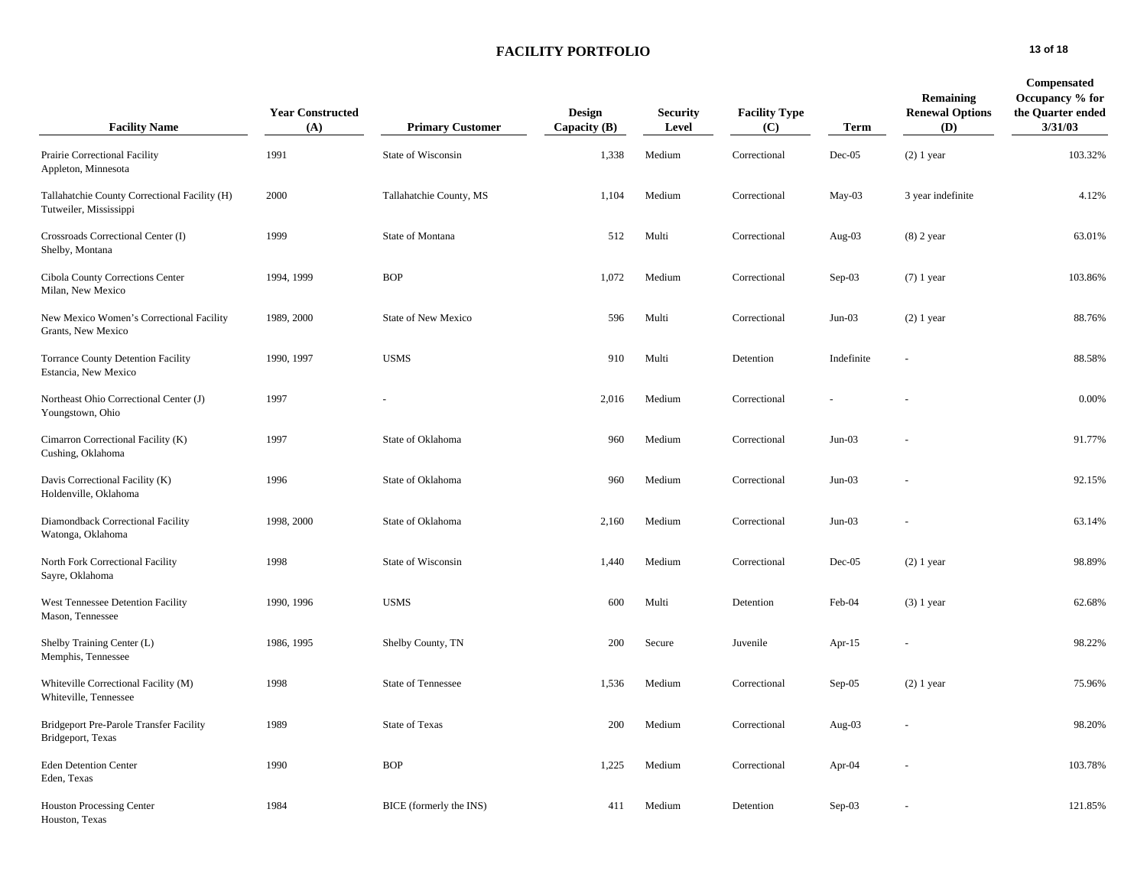# **FACILITY PORTFOLIO 13 of 18**

| <b>Facility Name</b>                                                    | <b>Year Constructed</b><br>(A) | <b>Primary Customer</b>    | Design<br>Capacity $(B)$ | <b>Security</b><br>Level | <b>Facility Type</b><br>(C) | <b>Term</b> | Remaining<br><b>Renewal Options</b><br>(D) | Compensated<br>Occupancy % for<br>the Quarter ended<br>3/31/03 |
|-------------------------------------------------------------------------|--------------------------------|----------------------------|--------------------------|--------------------------|-----------------------------|-------------|--------------------------------------------|----------------------------------------------------------------|
| Prairie Correctional Facility<br>Appleton, Minnesota                    | 1991                           | State of Wisconsin         | 1,338                    | Medium                   | Correctional                | $Dec-05$    | $(2)$ 1 year                               | 103.32%                                                        |
| Tallahatchie County Correctional Facility (H)<br>Tutweiler, Mississippi | 2000                           | Tallahatchie County, MS    | 1,104                    | Medium                   | Correctional                | May-03      | 3 year indefinite                          | 4.12%                                                          |
| Crossroads Correctional Center (I)<br>Shelby, Montana                   | 1999                           | State of Montana           | 512                      | Multi                    | Correctional                | Aug-03      | $(8)$ 2 year                               | 63.01%                                                         |
| Cibola County Corrections Center<br>Milan, New Mexico                   | 1994, 1999                     | <b>BOP</b>                 | 1,072                    | Medium                   | Correctional                | $Sep-03$    | $(7)$ 1 year                               | 103.86%                                                        |
| New Mexico Women's Correctional Facility<br>Grants, New Mexico          | 1989, 2000                     | <b>State of New Mexico</b> | 596                      | Multi                    | Correctional                | $Jun-03$    | $(2)$ 1 year                               | 88.76%                                                         |
| <b>Torrance County Detention Facility</b><br>Estancia, New Mexico       | 1990, 1997                     | <b>USMS</b>                | 910                      | Multi                    | Detention                   | Indefinite  |                                            | 88.58%                                                         |
| Northeast Ohio Correctional Center (J)<br>Youngstown, Ohio              | 1997                           |                            | 2,016                    | Medium                   | Correctional                |             |                                            | 0.00%                                                          |
| Cimarron Correctional Facility (K)<br>Cushing, Oklahoma                 | 1997                           | State of Oklahoma          | 960                      | Medium                   | Correctional                | $Jun-03$    |                                            | 91.77%                                                         |
| Davis Correctional Facility (K)<br>Holdenville, Oklahoma                | 1996                           | State of Oklahoma          | 960                      | Medium                   | Correctional                | $Jun-03$    |                                            | 92.15%                                                         |
| Diamondback Correctional Facility<br>Watonga, Oklahoma                  | 1998, 2000                     | State of Oklahoma          | 2,160                    | Medium                   | Correctional                | $Jun-03$    |                                            | 63.14%                                                         |
| North Fork Correctional Facility<br>Sayre, Oklahoma                     | 1998                           | State of Wisconsin         | 1,440                    | Medium                   | Correctional                | $Dec-05$    | $(2)$ 1 year                               | 98.89%                                                         |
| West Tennessee Detention Facility<br>Mason, Tennessee                   | 1990, 1996                     | <b>USMS</b>                | 600                      | Multi                    | Detention                   | Feb-04      | $(3)$ 1 year                               | 62.68%                                                         |
| Shelby Training Center (L)<br>Memphis, Tennessee                        | 1986, 1995                     | Shelby County, TN          | 200                      | Secure                   | Juvenile                    | Apr-15      |                                            | 98.22%                                                         |
| Whiteville Correctional Facility (M)<br>Whiteville, Tennessee           | 1998                           | State of Tennessee         | 1,536                    | Medium                   | Correctional                | $Sep-05$    | $(2)$ 1 year                               | 75.96%                                                         |
| Bridgeport Pre-Parole Transfer Facility<br>Bridgeport, Texas            | 1989                           | State of Texas             | 200                      | Medium                   | Correctional                | Aug-03      |                                            | 98.20%                                                         |
| <b>Eden Detention Center</b><br>Eden, Texas                             | 1990                           | <b>BOP</b>                 | 1,225                    | Medium                   | Correctional                | Apr-04      |                                            | 103.78%                                                        |
| <b>Houston Processing Center</b><br>Houston, Texas                      | 1984                           | BICE (formerly the INS)    | 411                      | Medium                   | Detention                   | $Sep-03$    |                                            | 121.85%                                                        |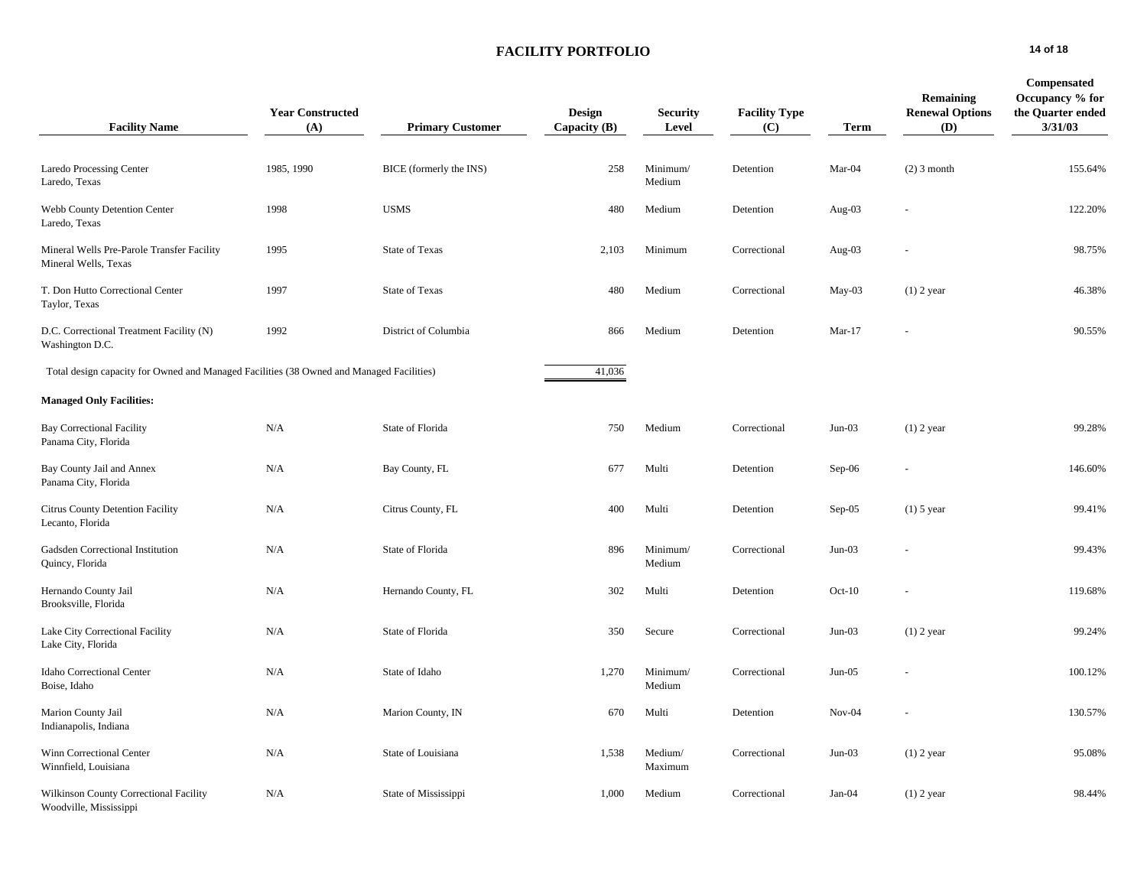## **FACILITY PORTFOLIO 14 of 18**

| <b>Facility Name</b>                                                                     | <b>Year Constructed</b><br>(A) | <b>Primary Customer</b> | <b>Design</b><br>Capacity $(B)$ | <b>Security</b><br>Level | <b>Facility Type</b><br>(C) | <b>Term</b> | <b>Remaining</b><br><b>Renewal Options</b><br>(D) | Compensated<br>Occupancy % for<br>the Quarter ended<br>3/31/03 |
|------------------------------------------------------------------------------------------|--------------------------------|-------------------------|---------------------------------|--------------------------|-----------------------------|-------------|---------------------------------------------------|----------------------------------------------------------------|
| <b>Laredo Processing Center</b><br>Laredo, Texas                                         | 1985, 1990                     | BICE (formerly the INS) | 258                             | Minimum/<br>Medium       | Detention                   | Mar-04      | $(2)$ 3 month                                     | 155.64%                                                        |
| Webb County Detention Center<br>Laredo, Texas                                            | 1998                           | <b>USMS</b>             | 480                             | Medium                   | Detention                   | Aug-03      |                                                   | 122.20%                                                        |
| Mineral Wells Pre-Parole Transfer Facility<br>Mineral Wells, Texas                       | 1995                           | <b>State of Texas</b>   | 2,103                           | Minimum                  | Correctional                | Aug-03      |                                                   | 98.75%                                                         |
| T. Don Hutto Correctional Center<br>Taylor, Texas                                        | 1997                           | <b>State of Texas</b>   | 480                             | Medium                   | Correctional                | May-03      | $(1)$ 2 year                                      | 46.38%                                                         |
| D.C. Correctional Treatment Facility (N)<br>Washington D.C.                              | 1992                           | District of Columbia    | 866                             | Medium                   | Detention                   | $Mar-17$    |                                                   | 90.55%                                                         |
| Total design capacity for Owned and Managed Facilities (38 Owned and Managed Facilities) |                                |                         | 41,036                          |                          |                             |             |                                                   |                                                                |
| <b>Managed Only Facilities:</b>                                                          |                                |                         |                                 |                          |                             |             |                                                   |                                                                |
| <b>Bay Correctional Facility</b><br>Panama City, Florida                                 | N/A                            | State of Florida        | 750                             | Medium                   | Correctional                | $Jun-03$    | $(1)$ 2 year                                      | 99.28%                                                         |
| Bay County Jail and Annex<br>Panama City, Florida                                        | N/A                            | Bay County, FL          | 677                             | Multi                    | Detention                   | Sep-06      |                                                   | 146.60%                                                        |
| Citrus County Detention Facility<br>Lecanto, Florida                                     | N/A                            | Citrus County, FL       | 400                             | Multi                    | Detention                   | Sep-05      | $(1)$ 5 year                                      | 99.41%                                                         |
| Gadsden Correctional Institution<br>Quincy, Florida                                      | N/A                            | State of Florida        | 896                             | Minimum/<br>Medium       | Correctional                | $Jun-03$    |                                                   | 99.43%                                                         |
| Hernando County Jail<br>Brooksville, Florida                                             | N/A                            | Hernando County, FL     | 302                             | Multi                    | Detention                   | $Oct-10$    |                                                   | 119.68%                                                        |
| Lake City Correctional Facility<br>Lake City, Florida                                    | N/A                            | State of Florida        | 350                             | Secure                   | Correctional                | $Jun-03$    | $(1)$ 2 year                                      | 99.24%                                                         |
| Idaho Correctional Center<br>Boise, Idaho                                                | N/A                            | State of Idaho          | 1,270                           | Minimum/<br>Medium       | Correctional                | $Jun-05$    |                                                   | 100.12%                                                        |
| Marion County Jail<br>Indianapolis, Indiana                                              | N/A                            | Marion County, IN       | 670                             | Multi                    | Detention                   | $Nov-04$    |                                                   | 130.57%                                                        |
| Winn Correctional Center<br>Winnfield, Louisiana                                         | N/A                            | State of Louisiana      | 1,538                           | Medium/<br>Maximum       | Correctional                | $Jun-03$    | $(1)$ 2 year                                      | 95.08%                                                         |
| Wilkinson County Correctional Facility<br>Woodville, Mississippi                         | N/A                            | State of Mississippi    | 1,000                           | Medium                   | Correctional                | Jan-04      | $(1)$ 2 year                                      | 98.44%                                                         |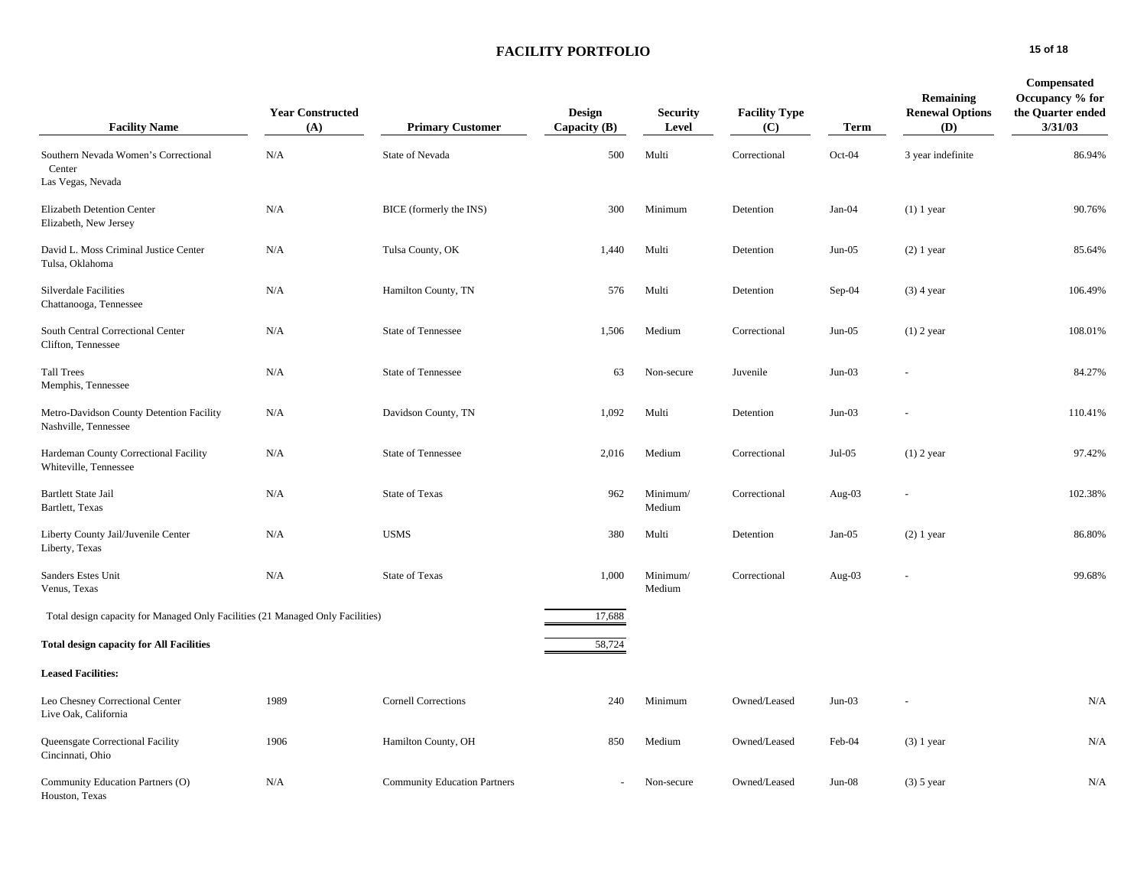# **FACILITY PORTFOLIO 15 of 18**

| <b>Facility Name</b>                                                           | <b>Year Constructed</b><br>(A) | <b>Primary Customer</b>             | Design<br>Capacity $(B)$ | <b>Security</b><br>Level | <b>Facility Type</b><br>(C) | <b>Term</b> | Remaining<br><b>Renewal Options</b><br>(D) | Compensated<br>Occupancy % for<br>the Quarter ended<br>3/31/03 |
|--------------------------------------------------------------------------------|--------------------------------|-------------------------------------|--------------------------|--------------------------|-----------------------------|-------------|--------------------------------------------|----------------------------------------------------------------|
| Southern Nevada Women's Correctional<br>Center<br>Las Vegas, Nevada            | N/A                            | State of Nevada                     | 500                      | Multi                    | Correctional                | Oct-04      | 3 year indefinite                          | 86.94%                                                         |
| Elizabeth Detention Center<br>Elizabeth, New Jersey                            | N/A                            | BICE (formerly the INS)             | 300                      | Minimum                  | Detention                   | Jan-04      | $(1)$ 1 year                               | 90.76%                                                         |
| David L. Moss Criminal Justice Center<br>Tulsa, Oklahoma                       | N/A                            | Tulsa County, OK                    | 1,440                    | Multi                    | Detention                   | $Jun-05$    | $(2)$ 1 year                               | 85.64%                                                         |
| Silverdale Facilities<br>Chattanooga, Tennessee                                | N/A                            | Hamilton County, TN                 | 576                      | Multi                    | Detention                   | Sep-04      | $(3)$ 4 year                               | 106.49%                                                        |
| South Central Correctional Center<br>Clifton, Tennessee                        | N/A                            | <b>State of Tennessee</b>           | 1,506                    | Medium                   | Correctional                | $Jun-05$    | $(1)$ 2 year                               | 108.01%                                                        |
| <b>Tall Trees</b><br>Memphis, Tennessee                                        | N/A                            | State of Tennessee                  | 63                       | Non-secure               | Juvenile                    | $Jun-03$    |                                            | 84.27%                                                         |
| Metro-Davidson County Detention Facility<br>Nashville, Tennessee               | N/A                            | Davidson County, TN                 | 1,092                    | Multi                    | Detention                   | $Jun-03$    |                                            | 110.41%                                                        |
| Hardeman County Correctional Facility<br>Whiteville, Tennessee                 | N/A                            | State of Tennessee                  | 2,016                    | Medium                   | Correctional                | Jul-05      | $(1)$ 2 year                               | 97.42%                                                         |
| <b>Bartlett State Jail</b><br>Bartlett, Texas                                  | N/A                            | State of Texas                      | 962                      | Minimum/<br>Medium       | Correctional                | Aug-03      |                                            | 102.38%                                                        |
| Liberty County Jail/Juvenile Center<br>Liberty, Texas                          | N/A                            | <b>USMS</b>                         | 380                      | Multi                    | Detention                   | $Jan-05$    | $(2)$ 1 year                               | 86.80%                                                         |
| Sanders Estes Unit<br>Venus, Texas                                             | N/A                            | <b>State of Texas</b>               | 1,000                    | Minimum/<br>Medium       | Correctional                | Aug- $03$   |                                            | 99.68%                                                         |
| Total design capacity for Managed Only Facilities (21 Managed Only Facilities) |                                |                                     | 17,688                   |                          |                             |             |                                            |                                                                |
| <b>Total design capacity for All Facilities</b>                                |                                |                                     | 58,724                   |                          |                             |             |                                            |                                                                |
| <b>Leased Facilities:</b>                                                      |                                |                                     |                          |                          |                             |             |                                            |                                                                |
| Leo Chesney Correctional Center<br>Live Oak, California                        | 1989                           | <b>Cornell Corrections</b>          | 240                      | Minimum                  | Owned/Leased                | $Jun-03$    |                                            | N/A                                                            |
| Queensgate Correctional Facility<br>Cincinnati, Ohio                           | 1906                           | Hamilton County, OH                 | 850                      | Medium                   | Owned/Leased                | Feb-04      | $(3)$ 1 year                               | N/A                                                            |
| Community Education Partners (O)<br>Houston, Texas                             | N/A                            | <b>Community Education Partners</b> |                          | Non-secure               | Owned/Leased                | $Jun-08$    | $(3)$ 5 year                               | N/A                                                            |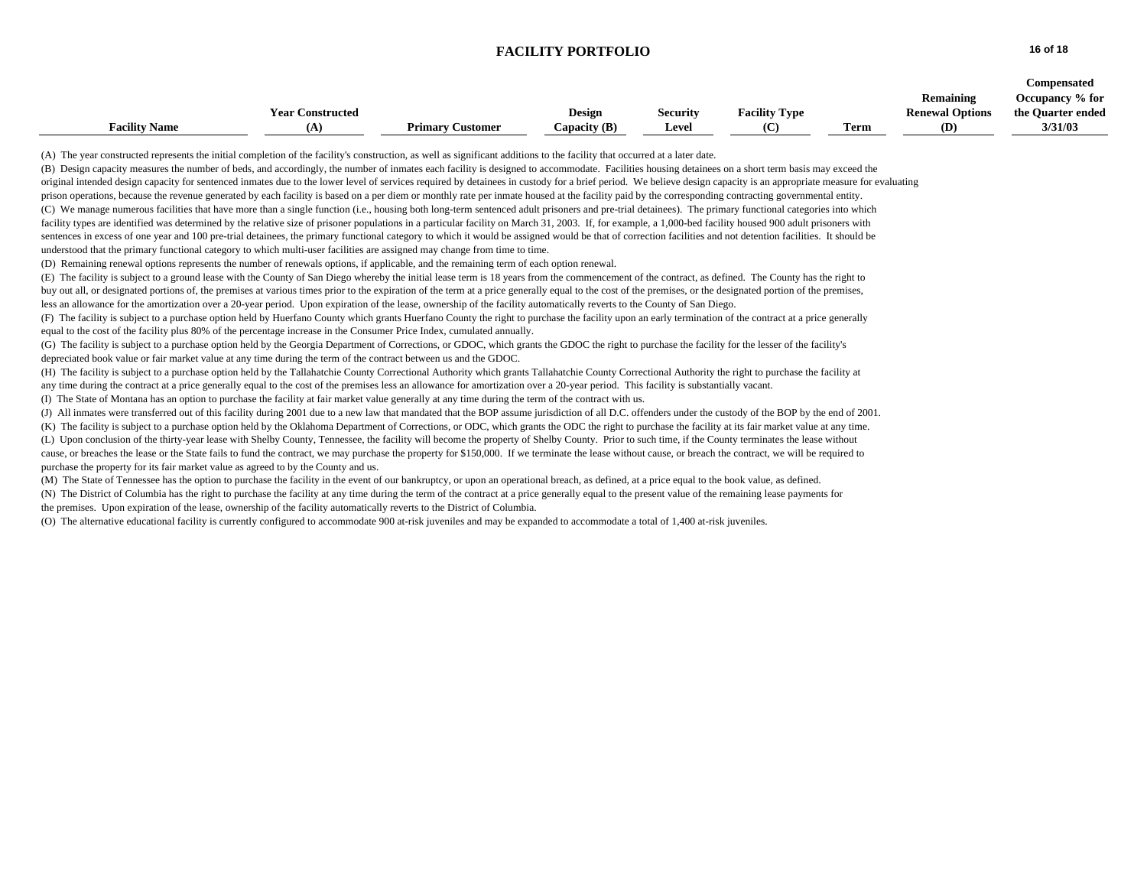#### **FACILITY PORTFOLIO 16 of 18**

|                      |                         |                         |              |                 |                      |      |                        | Compensated       |
|----------------------|-------------------------|-------------------------|--------------|-----------------|----------------------|------|------------------------|-------------------|
|                      |                         |                         |              |                 |                      |      | Remaining              | Occupancy % for   |
|                      | <b>Year Constructed</b> |                         | Design       | <b>Security</b> | <b>Facility Type</b> |      | <b>Renewal Options</b> | the Quarter ended |
| <b>Facility Name</b> |                         | <b>Primary Customer</b> | Capacity (B) | Level           | (C                   | Term | (D)                    | 3/31/03           |

(A) The year constructed represents the initial completion of the facility's construction, as well as significant additions to the facility that occurred at a later date.

(B) Design capacity measures the number of beds, and accordingly, the number of inmates each facility is designed to accommodate. Facilities housing detainees on a short term basis may exceed the original intended design capacity for sentenced inmates due to the lower level of services required by detainees in custody for a brief period. We believe design capacity is an appropriate measure for evaluating prison operations, because the revenue generated by each facility is based on a per diem or monthly rate per inmate housed at the facility paid by the corresponding contracting governmental entity. (C) We manage numerous facilities that have more than a single function (i.e., housing both long-term sentenced adult prisoners and pre-trial detainees). The primary functional categories into which facility types are identified was determined by the relative size of prisoner populations in a particular facility on March 31, 2003. If, for example, a 1,000-bed facility housed 900 adult prisoners with sentences in excess of one year and 100 pre-trial detainees, the primary functional category to which it would be assigned would be that of correction facilities and not detention facilities. It should be understood that the primary functional category to which multi-user facilities are assigned may change from time to time.

(D) Remaining renewal options represents the number of renewals options, if applicable, and the remaining term of each option renewal.

(E) The facility is subject to a ground lease with the County of San Diego whereby the initial lease term is 18 years from the commencement of the contract, as defined. The County has the right to buy out all, or designated portions of, the premises at various times prior to the expiration of the term at a price generally equal to the cost of the premises, or the designated portion of the premises, less an allowance for the amortization over a 20-year period. Upon expiration of the lease, ownership of the facility automatically reverts to the County of San Diego.

(F) The facility is subject to a purchase option held by Huerfano County which grants Huerfano County the right to purchase the facility upon an early termination of the contract at a price generally equal to the cost of the facility plus 80% of the percentage increase in the Consumer Price Index, cumulated annually.

(G) The facility is subject to a purchase option held by the Georgia Department of Corrections, or GDOC, which grants the GDOC the right to purchase the facility for the lesser of the facility's depreciated book value or fair market value at any time during the term of the contract between us and the GDOC.

(H) The facility is subject to a purchase option held by the Tallahatchie County Correctional Authority which grants Tallahatchie County Correctional Authority the right to purchase the facility at any time during the contract at a price generally equal to the cost of the premises less an allowance for amortization over a 20-year period. This facility is substantially vacant.

(I) The State of Montana has an option to purchase the facility at fair market value generally at any time during the term of the contract with us.

(J) All inmates were transferred out of this facility during 2001 due to a new law that mandated that the BOP assume jurisdiction of all D.C. offenders under the custody of the BOP by the end of 2001.

(K) The facility is subject to a purchase option held by the Oklahoma Department of Corrections, or ODC, which grants the ODC the right to purchase the facility at its fair market value at any time.

(L) Upon conclusion of the thirty-year lease with Shelby County, Tennessee, the facility will become the property of Shelby County. Prior to such time, if the County terminates the lease without cause, or breaches the lease or the State fails to fund the contract, we may purchase the property for \$150,000. If we terminate the lease without cause, or breach the contract, we will be required to purchase the property for its fair market value as agreed to by the County and us.

(M) The State of Tennessee has the option to purchase the facility in the event of our bankruptcy, or upon an operational breach, as defined, at a price equal to the book value, as defined. (N) The District of Columbia has the right to purchase the facility at any time during the term of the contract at a price generally equal to the present value of the remaining lease payments for the premises. Upon expiration of the lease, ownership of the facility automatically reverts to the District of Columbia.

(O) The alternative educational facility is currently configured to accommodate 900 at-risk juveniles and may be expanded to accommodate a total of 1,400 at-risk juveniles.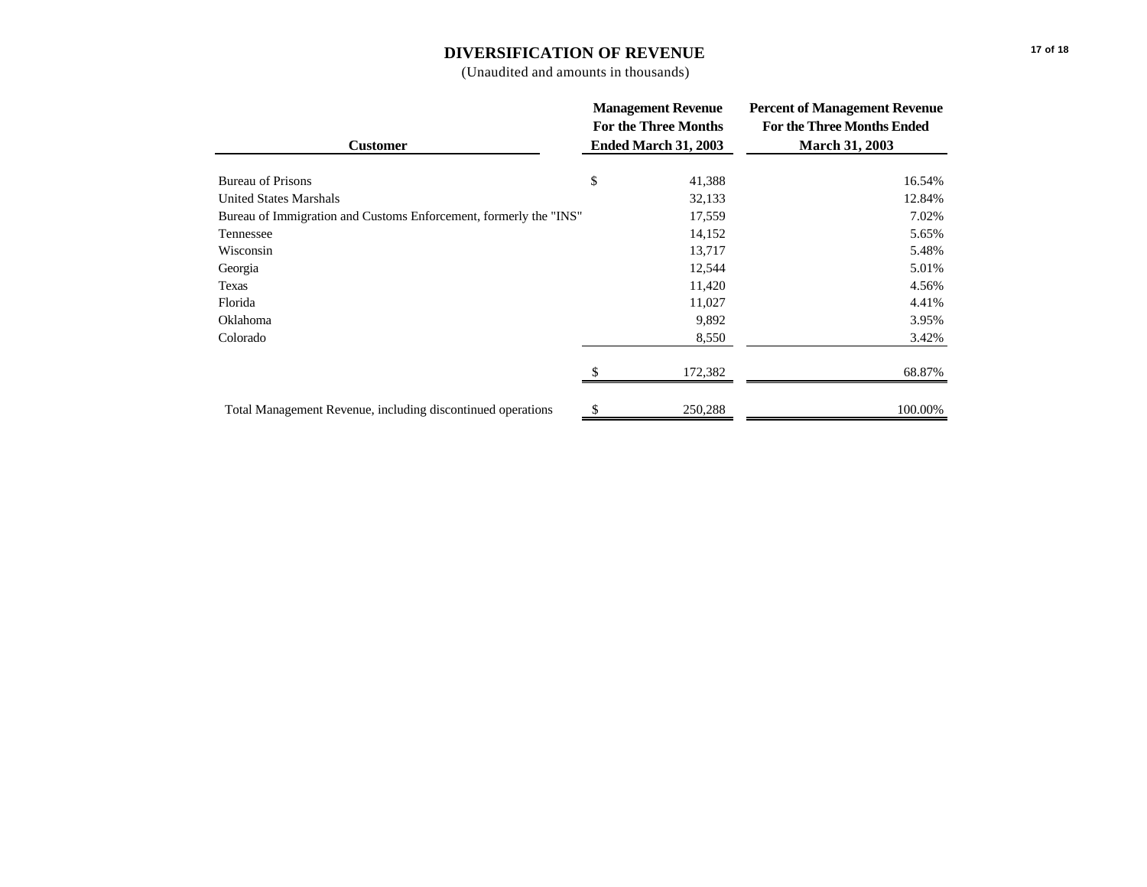# **DIVERSIFICATION OF REVENUE**

(Unaudited and amounts in thousands)

|                                                                   |                             | <b>Management Revenue</b> | <b>Percent of Management Revenue</b> |  |  |
|-------------------------------------------------------------------|-----------------------------|---------------------------|--------------------------------------|--|--|
|                                                                   | <b>For the Three Months</b> |                           | <b>For the Three Months Ended</b>    |  |  |
| <b>Customer</b>                                                   |                             | Ended March 31, 2003      | <b>March 31, 2003</b>                |  |  |
| <b>Bureau of Prisons</b>                                          | \$                          | 41,388                    | 16.54%                               |  |  |
| <b>United States Marshals</b>                                     |                             | 32,133                    | 12.84%                               |  |  |
| Bureau of Immigration and Customs Enforcement, formerly the "INS" |                             | 17,559                    | 7.02%                                |  |  |
| Tennessee                                                         |                             | 14,152                    | 5.65%                                |  |  |
| Wisconsin                                                         |                             | 13,717                    | 5.48%                                |  |  |
| Georgia                                                           |                             | 12,544                    | 5.01%                                |  |  |
| Texas                                                             |                             | 11,420                    | 4.56%                                |  |  |
| Florida                                                           |                             | 11,027                    | 4.41%                                |  |  |
| Oklahoma                                                          |                             | 9,892                     | 3.95%                                |  |  |
| Colorado                                                          |                             | 8,550                     | 3.42%                                |  |  |
|                                                                   |                             | 172,382                   | 68.87%                               |  |  |
| Total Management Revenue, including discontinued operations       |                             | 250,288                   | 100.00%                              |  |  |